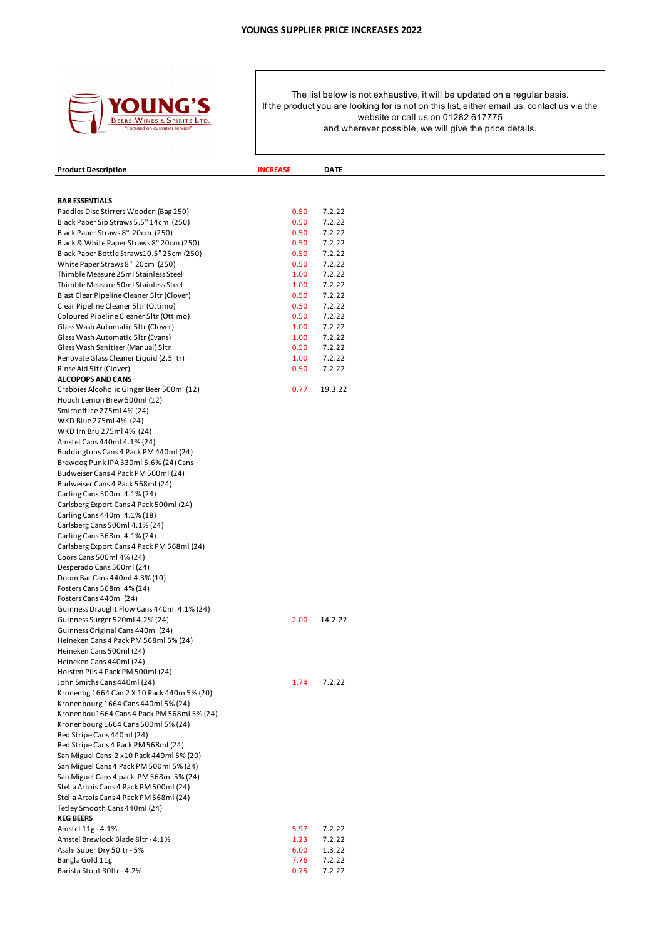

| <b>Product Description</b>                                                         | <b>INCREASE</b> | <b>DATE</b>      |
|------------------------------------------------------------------------------------|-----------------|------------------|
|                                                                                    |                 |                  |
| <b>BAR ESSENTIALS</b>                                                              |                 |                  |
| Paddles Disc Stirrers Wooden (Bag 250)                                             | 0.50            | 7.2.22           |
| Black Paper Sip Straws 5.5" 14cm (250)                                             | 0.50            | 7.2.22           |
| Black Paper Straws 8" 20cm (250)                                                   | 0.50            | 7.2.22           |
| Black & White Paper Straws 8" 20cm (250)                                           | 0.50            | 7.2.22           |
| Black Paper Bottle Straws10.5" 25cm (250)                                          | 0.50            | 7.2.22           |
| White Paper Straws 8" 20cm (250)                                                   | 0.50            | 7.2.22           |
| Thimble Measure 25ml Stainless Steel                                               | 1.00            | 7.2.22           |
| Thimble Measure 50ml Stainless Steel<br>Blast Clear Pipeline Cleaner 5ltr (Clover) | 1.00<br>0.50    | 7.2.22<br>7.2.22 |
| Clear Pipeline Cleaner 5ltr (Ottimo)                                               | 0.50            | 7.2.22           |
| Coloured Pipeline Cleaner 51tr (Ottimo)                                            | 0.50            | 7.2.22           |
| Glass Wash Automatic 51tr (Clover)                                                 | 1.00            | 7.2.22           |
| Glass Wash Automatic 5ltr (Evans)                                                  | 1.00            | 7.2.22           |
| Glass Wash Sanitiser (Manual) 5ltr                                                 | 0.50            | 7.2.22           |
| Renovate Glass Cleaner Liquid (2.5 ltr)                                            | 1.00            | 7.2.22           |
| Rinse Aid 5ltr (Clover)                                                            | 0.50            | 7.2.22           |
| <b>ALCOPOPS AND CANS</b>                                                           |                 |                  |
| Crabbies Alcoholic Ginger Beer 500ml (12)                                          | 0.77            | 19.3.22          |
| Hooch Lemon Brew 500ml (12)<br>Smirnoff Ice 275ml 4% (24)                          |                 |                  |
| WKD Blue 275ml 4% (24)                                                             |                 |                  |
| WKD Irn Bru 275ml 4% (24)                                                          |                 |                  |
| Amstel Cans 440ml 4.1% (24)                                                        |                 |                  |
| Boddingtons Cans 4 Pack PM 440ml (24)                                              |                 |                  |
| Brewdog Punk IPA 330ml 5.6% (24) Cans                                              |                 |                  |
| Budweiser Cans 4 Pack PM 500ml (24)                                                |                 |                  |
| Budweiser Cans 4 Pack 568ml (24)                                                   |                 |                  |
| Carling Cans 500ml 4.1% (24)                                                       |                 |                  |
| Carlsberg Export Cans 4 Pack 500ml (24)                                            |                 |                  |
| Carling Cans 440ml 4.1% (18)<br>Carlsberg Cans 500ml 4.1% (24)                     |                 |                  |
| Carling Cans 568ml 4.1% (24)                                                       |                 |                  |
| Carlsberg Export Cans 4 Pack PM 568ml (24)                                         |                 |                  |
| Coors Cans 500ml 4% (24)                                                           |                 |                  |
| Desperado Cans 500ml (24)                                                          |                 |                  |
| Doom Bar Cans 440ml 4.3% (10)                                                      |                 |                  |
| Fosters Cans 568ml 4% (24)                                                         |                 |                  |
| Fosters Cans 440ml (24)                                                            |                 |                  |
| Guinness Draught Flow Cans 440ml 4.1% (24)                                         |                 |                  |
| Guinness Surger 520ml 4.2% (24)                                                    | 2.00            | 14.2.22          |
| Guinness Original Cans 440ml (24)<br>Heineken Cans 4 Pack PM 568ml 5% (24)         |                 |                  |
| Heineken Cans 500ml (24)                                                           |                 |                  |
| Heineken Cans 440ml (24)                                                           |                 |                  |
| Holsten Pils 4 Pack PM 500ml (24)                                                  |                 |                  |
| John Smiths Cans 440ml (24)                                                        | 1.74            | 7.2.22           |
| Kronenbg 1664 Can 2 X 10 Pack 440m 5% (20)                                         |                 |                  |
| Kronenbourg 1664 Cans 440ml 5% (24)                                                |                 |                  |
| Kronenbou1664 Cans 4 Pack PM 568ml 5% (24)                                         |                 |                  |
| Kronenbourg 1664 Cans 500ml 5% (24)                                                |                 |                  |
| Red Stripe Cans 440ml (24)<br>Red Stripe Cans 4 Pack PM 568ml (24)                 |                 |                  |
| San Miguel Cans 2 x10 Pack 440ml 5% (20)                                           |                 |                  |
| San Miguel Cans 4 Pack PM 500ml 5% (24)                                            |                 |                  |
| San Miguel Cans 4 pack PM 568ml 5% (24)                                            |                 |                  |
| Stella Artois Cans 4 Pack PM 500ml (24)                                            |                 |                  |
| Stella Artois Cans 4 Pack PM 568ml (24)                                            |                 |                  |
| Tetley Smooth Cans 440ml (24)                                                      |                 |                  |
| <b>KEG BEERS</b>                                                                   |                 |                  |
| Amstel 11g - 4.1%                                                                  | 5.97            | 7.2.22           |
| Amstel Brewlock Blade 8ltr - 4.1%<br>Asahi Super Dry 50ltr - 5%                    | 1.23<br>6.00    | 7.2.22<br>1.3.22 |
| Bangla Gold 11g                                                                    | 7.76            | 7.2.22           |
| Barista Stout 30ltr - 4.2%                                                         | 0.75            | 7.2.22           |
|                                                                                    |                 |                  |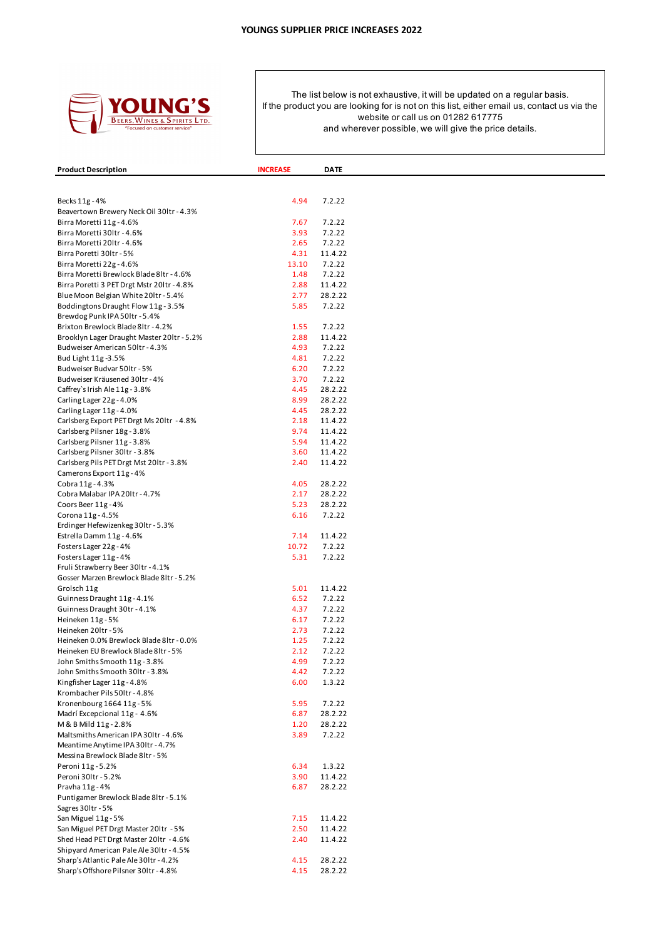

| <b>Product Description</b>                                           | <b>INCREASE</b> | <b>DATE</b>       |  |
|----------------------------------------------------------------------|-----------------|-------------------|--|
|                                                                      |                 |                   |  |
|                                                                      |                 |                   |  |
| Becks 11g - 4%                                                       | 4.94            | 7.2.22            |  |
| Beavertown Brewery Neck Oil 30ltr - 4.3%<br>Birra Moretti 11g - 4.6% | 7.67            | 7.2.22            |  |
| Birra Moretti 30ltr - 4.6%                                           | 3.93            | 7.2.22            |  |
| Birra Moretti 20ltr - 4.6%                                           | 2.65            | 7.2.22            |  |
| Birra Poretti 30ltr - 5%                                             | 4.31            | 11.4.22           |  |
| Birra Moretti 22g - 4.6%                                             | 13.10           | 7.2.22            |  |
| Birra Moretti Brewlock Blade 8ltr - 4.6%                             | 1.48            | 7.2.22            |  |
| Birra Poretti 3 PET Drgt Mstr 20ltr - 4.8%                           | 2.88            | 11.4.22           |  |
| Blue Moon Belgian White 201tr - 5.4%                                 | 2.77            | 28.2.22           |  |
| Boddingtons Draught Flow 11g - 3.5%                                  | 5.85            | 7.2.22            |  |
| Brewdog Punk IPA 50ltr - 5.4%                                        |                 |                   |  |
| Brixton Brewlock Blade 8ltr - 4.2%                                   | 1.55            | 7.2.22            |  |
| Brooklyn Lager Draught Master 20ltr - 5.2%                           | 2.88            | 11.4.22           |  |
| Budweiser American 50ltr - 4.3%                                      | 4.93            | 7.2.22            |  |
| Bud Light 11g-3.5%                                                   | 4.81<br>6.20    | 7.2.22<br>7.2.22  |  |
| Budweiser Budvar 50ltr - 5%<br>Budweiser Kräusened 30ltr - 4%        | 3.70            | 7.2.22            |  |
| Caffrey's Irish Ale 11g - 3.8%                                       | 4.45            | 28.2.22           |  |
| Carling Lager 22g - 4.0%                                             | 8.99            | 28.2.22           |  |
| Carling Lager 11g - 4.0%                                             | 4.45            | 28.2.22           |  |
| Carlsberg Export PET Drgt Ms 201tr - 4.8%                            | 2.18            | 11.4.22           |  |
| Carlsberg Pilsner 18g - 3.8%                                         | 9.74            | 11.4.22           |  |
| Carlsberg Pilsner 11g - 3.8%                                         | 5.94            | 11.4.22           |  |
| Carlsberg Pilsner 30ltr - 3.8%                                       | 3.60            | 11.4.22           |  |
| Carlsberg Pils PET Drgt Mst 20ltr - 3.8%                             | 2.40            | 11.4.22           |  |
| Camerons Export 11g - 4%                                             |                 |                   |  |
| Cobra 11g - 4.3%                                                     | 4.05            | 28.2.22           |  |
| Cobra Malabar IPA 201tr - 4.7%                                       | 2.17            | 28.2.22           |  |
| Coors Beer 11g - 4%                                                  | 5.23            | 28.2.22           |  |
| Corona 11g - 4.5%                                                    | 6.16            | 7.2.22            |  |
| Erdinger Hefewizenkeg 30ltr - 5.3%                                   |                 |                   |  |
| Estrella Damm 11g - 4.6%                                             | 7.14            | 11.4.22           |  |
| Fosters Lager 22g - 4%                                               | 10.72           | 7.2.22            |  |
| Fosters Lager 11g - 4%                                               | 5.31            | 7.2.22            |  |
| Fruli Strawberry Beer 30ltr - 4.1%                                   |                 |                   |  |
| Gosser Marzen Brewlock Blade 8ltr - 5.2%<br>Grolsch 11g              | 5.01            | 11.4.22           |  |
| Guinness Draught 11g - 4.1%                                          | 6.52            | 7.2.22            |  |
| Guinness Draught 30tr - 4.1%                                         | 4.37            | 7.2.22            |  |
| Heineken 11g - 5%                                                    | 6.17            | 7.2.22            |  |
| Heineken 201tr - 5%                                                  | 2.73            | 7.2.22            |  |
| Heineken 0.0% Brewlock Blade 8ltr - 0.0%                             | 1.25            | 7.2.22            |  |
| Heineken EU Brewlock Blade 8ltr - 5%                                 | 2.12            | 7.2.22            |  |
| John Smiths Smooth 11g - 3.8%                                        | 4.99            | 7.2.22            |  |
| John Smiths Smooth 30ltr - 3.8%                                      | 4.42            | 7.2.22            |  |
| Kingfisher Lager 11g - 4.8%                                          | 6.00            | 1.3.22            |  |
| Krombacher Pils 50ltr - 4.8%                                         |                 |                   |  |
| Kronenbourg 1664 11g - 5%                                            | 5.95            | 7.2.22            |  |
| Madrí Excepcional 11g - 4.6%                                         | 6.87            | 28.2.22           |  |
| M & B Mild 11g - 2.8%                                                | 1.20            | 28.2.22           |  |
| Maltsmiths American IPA 301tr - 4.6%                                 | 3.89            | 7.2.22            |  |
| Meantime Anytime IPA 30ltr - 4.7%                                    |                 |                   |  |
| Messina Brewlock Blade 8ltr - 5%<br>Peroni 11g - 5.2%                |                 |                   |  |
| Peroni 30ltr - 5.2%                                                  | 6.34<br>3.90    | 1.3.22<br>11.4.22 |  |
| Pravha 11g - 4%                                                      | 6.87            | 28.2.22           |  |
| Puntigamer Brewlock Blade 8ltr - 5.1%                                |                 |                   |  |
| Sagres 30Itr - 5%                                                    |                 |                   |  |
| San Miguel 11g - 5%                                                  | 7.15            | 11.4.22           |  |
| San Miguel PET Drgt Master 201tr - 5%                                | 2.50            | 11.4.22           |  |
| Shed Head PET Drgt Master 201tr - 4.6%                               | 2.40            | 11.4.22           |  |
| Shipyard American Pale Ale 30ltr - 4.5%                              |                 |                   |  |
| Sharp's Atlantic Pale Ale 30ltr - 4.2%                               | 4.15            | 28.2.22           |  |
| Sharp's Offshore Pilsner 30ltr - 4.8%                                | 4.15            | 28.2.22           |  |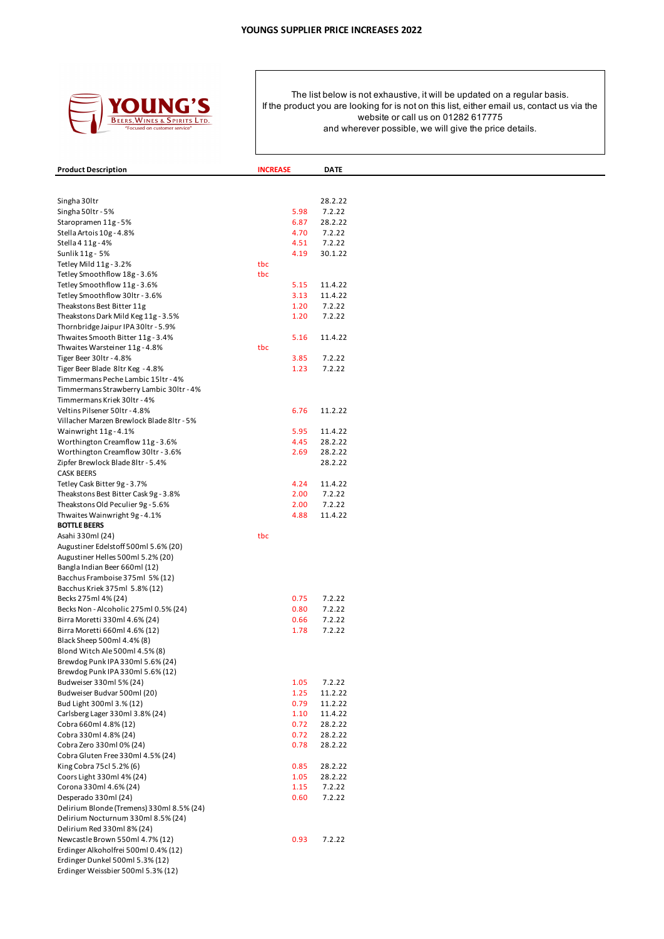

| <b>Product Description</b>                                                 | <b>INCREASE</b> | <b>DATE</b>        |
|----------------------------------------------------------------------------|-----------------|--------------------|
|                                                                            |                 |                    |
|                                                                            |                 |                    |
| Singha 30ltr<br>Singha 50ltr - 5%                                          | 5.98            | 28.2.22<br>7.2.22  |
| Staropramen 11g - 5%                                                       | 6.87            | 28.2.22            |
| Stella Artois 10g - 4.8%                                                   | 4.70            | 7.2.22             |
| Stella 4 11g - 4%                                                          | 4.51            | 7.2.22             |
| Sunlik 11g - 5%                                                            | 4.19            | 30.1.22            |
| Tetley Mild 11g - 3.2%                                                     | tbc             |                    |
| Tetley Smoothflow 18g - 3.6%                                               | tbc             |                    |
| Tetley Smoothflow 11g - 3.6%                                               | 5.15            | 11.4.22            |
| Tetley Smoothflow 30ltr - 3.6%                                             | 3.13            | 11.4.22<br>7.2.22  |
| Theakstons Best Bitter 11g<br>Theakstons Dark Mild Keg 11g - 3.5%          | 1.20<br>1.20    | 7.2.22             |
| Thornbridge Jaipur IPA 30ltr - 5.9%                                        |                 |                    |
| Thwaites Smooth Bitter 11g - 3.4%                                          | 5.16            | 11.4.22            |
| Thwaites Warsteiner 11g - 4.8%                                             | tbc             |                    |
| Tiger Beer 30ltr - 4.8%                                                    | 3.85            | 7.2.22             |
| Tiger Beer Blade 8ltr Keg - 4.8%                                           | 1.23            | 7.2.22             |
| Timmermans Peche Lambic 15ltr - 4%                                         |                 |                    |
| Timmermans Strawberry Lambic 30ltr - 4%                                    |                 |                    |
| Timmermans Kriek 30ltr - 4%                                                | 6.76            |                    |
| Veltins Pilsener 50ltr - 4.8%<br>Villacher Marzen Brewlock Blade 8ltr - 5% |                 | 11.2.22            |
| Wainwright 11g - 4.1%                                                      | 5.95            | 11.4.22            |
| Worthington Creamflow 11g - 3.6%                                           | 4.45            | 28.2.22            |
| Worthington Creamflow 30ltr - 3.6%                                         | 2.69            | 28.2.22            |
| Zipfer Brewlock Blade 8ltr - 5.4%                                          |                 | 28.2.22            |
| <b>CASK BEERS</b>                                                          |                 |                    |
| Tetley Cask Bitter 9g - 3.7%                                               | 4.24            | 11.4.22            |
| Theakstons Best Bitter Cask 9g - 3.8%                                      | 2.00            | 7.2.22             |
| Theakstons Old Peculier 9g - 5.6%                                          | 2.00            | 7.2.22             |
| Thwaites Wainwright 9g - 4.1%<br><b>BOTTLE BEERS</b>                       | 4.88            | 11.4.22            |
| Asahi 330ml (24)                                                           | tbc             |                    |
| Augustiner Edelstoff 500ml 5.6% (20)                                       |                 |                    |
| Augustiner Helles 500ml 5.2% (20)                                          |                 |                    |
| Bangla Indian Beer 660ml (12)                                              |                 |                    |
| Bacchus Framboise 375ml 5% (12)                                            |                 |                    |
| Bacchus Kriek 375ml 5.8% (12)                                              |                 |                    |
| Becks 275ml 4% (24)                                                        | 0.75            | 7.2.22             |
| Becks Non - Alcoholic 275ml 0.5% (24)<br>Birra Moretti 330ml 4.6% (24)     | 0.80<br>0.66    | 7.2.22<br>7.2.22   |
| Birra Moretti 660ml 4.6% (12)                                              | 1.78            | 7.2.22             |
| Black Sheep 500ml 4.4% (8)                                                 |                 |                    |
| Blond Witch Ale 500ml 4.5% (8)                                             |                 |                    |
| Brewdog Punk IPA 330ml 5.6% (24)                                           |                 |                    |
| Brewdog Punk IPA 330ml 5.6% (12)                                           |                 |                    |
| Budweiser 330ml 5% (24)                                                    | 1.05            | 7.2.22             |
| Budweiser Budvar 500ml (20)                                                | 1.25            | 11.2.22            |
| Bud Light 300ml 3.% (12)                                                   | 0.79            | 11.2.22            |
| Carlsberg Lager 330ml 3.8% (24)<br>Cobra 660ml 4.8% (12)                   | 1.10<br>0.72    | 11.4.22<br>28.2.22 |
| Cobra 330ml 4.8% (24)                                                      | 0.72            | 28.2.22            |
| Cobra Zero 330ml 0% (24)                                                   | 0.78            | 28.2.22            |
| Cobra Gluten Free 330ml 4.5% (24)                                          |                 |                    |
| King Cobra 75cl 5.2% (6)                                                   | 0.85            | 28.2.22            |
| Coors Light 330ml 4% (24)                                                  | 1.05            | 28.2.22            |
| Corona 330ml 4.6% (24)                                                     | 1.15            | 7.2.22             |
| Desperado 330ml (24)                                                       | 0.60            | 7.2.22             |
| Delirium Blonde (Tremens) 330ml 8.5% (24)                                  |                 |                    |
| Delirium Nocturnum 330ml 8.5% (24)<br>Delirium Red 330ml 8% (24)           |                 |                    |
| Newcastle Brown 550ml 4.7% (12)                                            | 0.93            | 7.2.22             |
| Erdinger Alkoholfrei 500ml 0.4% (12)                                       |                 |                    |
| Erdinger Dunkel 500ml 5.3% (12)                                            |                 |                    |
| Erdinger Weissbier 500ml 5.3% (12)                                         |                 |                    |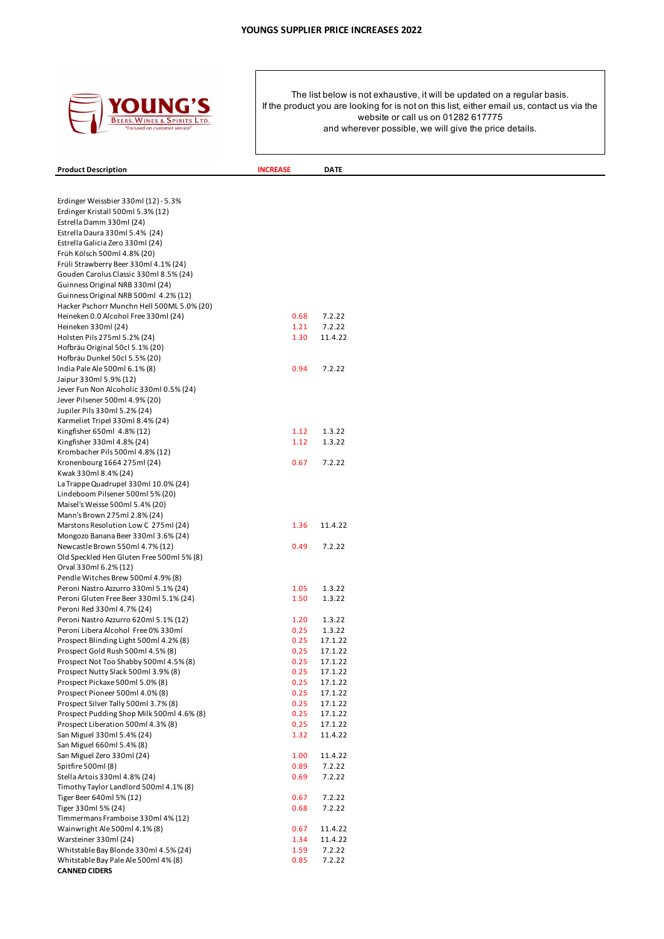

**Product Description INCREASE DATE** 

| Erdinger Weissbier 330ml (12) - 5.3%                        |      |                  |
|-------------------------------------------------------------|------|------------------|
| Erdinger Kristall 500ml 5.3% (12)                           |      |                  |
| Estrella Damm 330ml (24)                                    |      |                  |
| Estrella Daura 330ml 5.4% (24)                              |      |                  |
| Estrella Galicia Zero 330ml (24)                            |      |                  |
| Früh Kölsch 500ml 4.8% (20)                                 |      |                  |
| Früli Strawberry Beer 330ml 4.1% (24)                       |      |                  |
| Gouden Carolus Classic 330ml 8.5% (24)                      |      |                  |
| Guinness Original NRB 330ml (24)                            |      |                  |
| Guinness Original NRB 500ml 4.2% (12)                       |      |                  |
| Hacker Pschorr Munchn Hell 500ML 5.0% (20)                  | 0.68 |                  |
| Heineken 0.0 Alcohol Free 330ml (24)<br>Heineken 330ml (24) | 1.21 | 7.2.22<br>7.2.22 |
| Holsten Pils 275ml 5.2% (24)                                | 1.30 | 11.4.22          |
| Hofbräu Original 50cl 5.1% (20)                             |      |                  |
| Hofbräu Dunkel 50cl 5.5% (20)                               |      |                  |
| India Pale Ale 500ml 6.1% (8)                               | 0.94 | 7.2.22           |
| Jaipur 330ml 5.9% (12)                                      |      |                  |
| Jever Fun Non Alcoholic 330ml 0.5% (24)                     |      |                  |
| Jever Pilsener 500ml 4.9% (20)                              |      |                  |
| Jupiler Pils 330ml 5.2% (24)                                |      |                  |
| Karmeliet Tripel 330ml 8.4% (24)                            |      |                  |
| Kingfisher 650ml 4.8% (12)                                  | 1.12 | 1.3.22           |
| Kingfisher 330ml 4.8% (24)                                  | 1.12 | 1.3.22           |
| Krombacher Pils 500ml 4.8% (12)                             |      |                  |
| Kronenbourg 1664 275ml (24)                                 | 0.67 | 7.2.22           |
| Kwak 330ml 8.4% (24)                                        |      |                  |
| La Trappe Quadrupel 330ml 10.0% (24)                        |      |                  |
| Lindeboom Pilsener 500ml 5% (20)                            |      |                  |
| Maisel's Weisse 500ml 5.4% (20)                             |      |                  |
| Mann's Brown 275ml 2.8% (24)                                |      |                  |
| Marstons Resolution Low C 275ml (24)                        | 1.36 | 11.4.22          |
| Mongozo Banana Beer 330ml 3.6% (24)                         |      |                  |
| Newcastle Brown 550ml 4.7% (12)                             | 0.49 | 7.2.22           |
| Old Speckled Hen Gluten Free 500ml 5% (8)                   |      |                  |
| Orval 330ml 6.2% (12)<br>Pendle Witches Brew 500ml 4.9% (8) |      |                  |
| Peroni Nastro Azzurro 330ml 5.1% (24)                       | 1.05 | 1.3.22           |
| Peroni Gluten Free Beer 330ml 5.1% (24)                     | 1.50 | 1.3.22           |
| Peroni Red 330ml 4.7% (24)                                  |      |                  |
| Peroni Nastro Azzurro 620ml 5.1% (12)                       | 1.20 | 1.3.22           |
| Peroni Libera Alcohol Free 0% 330ml                         | 0.25 | 1.3.22           |
| Prospect Blinding Light 500ml 4.2% (8)                      | 0.25 | 17.1.22          |
| Prospect Gold Rush 500ml 4.5% (8)                           | 0.25 | 17.1.22          |
| Prospect Not Too Shabby 500ml 4.5% (8)                      | 0.25 | 17.1.22          |
| Prospect Nutty Slack 500ml 3.9% (8)                         | 0.25 | 17.1.22          |
| Prospect Pickaxe 500ml 5.0% (8)                             | 0.25 | 17.1.22          |
| Prospect Pioneer 500ml 4.0% (8)                             | 0.25 | 17.1.22          |
| Prospect Silver Tally 500ml 3.7% (8)                        | 0.25 | 17.1.22          |
| Prospect Pudding Shop Milk 500ml 4.6% (8)                   | 0.25 | 17.1.22          |
| Prospect Liberation 500ml 4.3% (8)                          | 0.25 | 17.1.22          |
| San Miguel 330ml 5.4% (24)                                  | 1.32 | 11.4.22          |
| San Miguel 660ml 5.4% (8)                                   |      |                  |
| San Miguel Zero 330ml (24)                                  | 1.00 | 11.4.22          |
| Spitfire 500ml (8)                                          | 0.89 | 7.2.22           |
| Stella Artois 330ml 4.8% (24)                               | 0.69 | 7.2.22           |
| Timothy Taylor Landlord 500ml 4.1% (8)                      |      |                  |
| Tiger Beer 640ml 5% (12)                                    | 0.67 | 7.2.22           |
| Tiger 330ml 5% (24)<br>Timmermans Framboise 330ml 4% (12)   | 0.68 | 7.2.22           |
| Wainwright Ale 500ml 4.1% (8)                               | 0.67 | 11.4.22          |
| Warsteiner 330ml (24)                                       | 1.34 | 11.4.22          |
| Whitstable Bay Blonde 330ml 4.5% (24)                       | 1.59 | 7.2.22           |
| Whitstable Bay Pale Ale 500ml 4% (8)                        | 0.85 | 7.2.22           |
| <b>CANNED CIDERS</b>                                        |      |                  |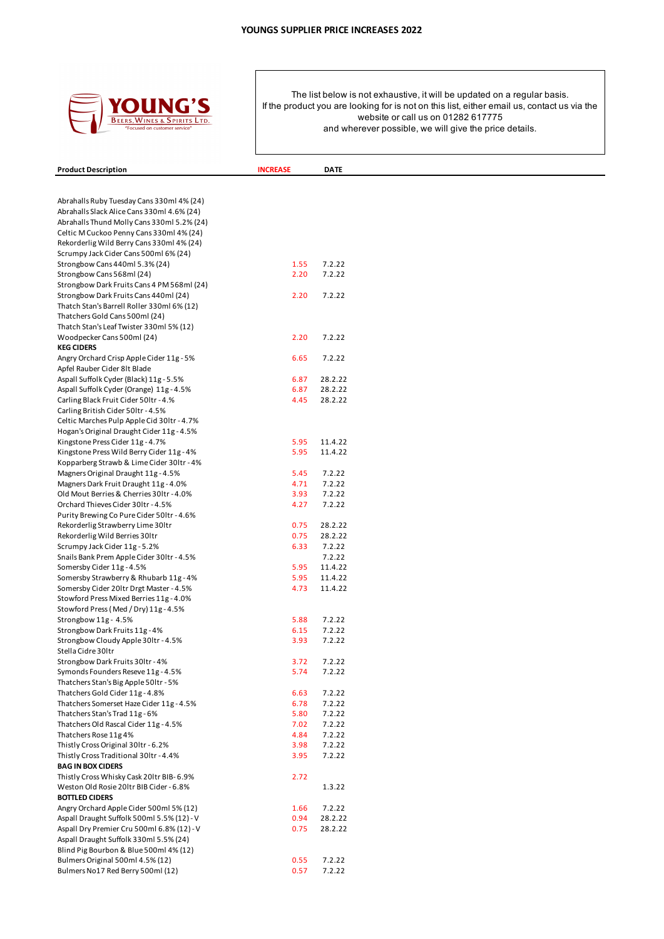

| <b>Product Description</b>                                                            | <b>INCREASE</b> | <b>DATE</b>       |  |
|---------------------------------------------------------------------------------------|-----------------|-------------------|--|
|                                                                                       |                 |                   |  |
| Abrahalls Ruby Tuesday Cans 330ml 4% (24)                                             |                 |                   |  |
| Abrahalls Slack Alice Cans 330ml 4.6% (24)                                            |                 |                   |  |
| Abrahalls Thund Molly Cans 330ml 5.2% (24)                                            |                 |                   |  |
| Celtic M Cuckoo Penny Cans 330ml 4% (24)                                              |                 |                   |  |
| Rekorderlig Wild Berry Cans 330ml 4% (24)                                             |                 |                   |  |
| Scrumpy Jack Cider Cans 500ml 6% (24)                                                 |                 |                   |  |
| Strongbow Cans 440ml 5.3% (24)                                                        | 1.55<br>2.20    | 7.2.22<br>7.2.22  |  |
| Strongbow Cans 568ml (24)<br>Strongbow Dark Fruits Cans 4 PM 568ml (24)               |                 |                   |  |
| Strongbow Dark Fruits Cans 440ml (24)                                                 | 2.20            | 7.2.22            |  |
| Thatch Stan's Barrell Roller 330ml 6% (12)                                            |                 |                   |  |
| Thatchers Gold Cans 500ml (24)                                                        |                 |                   |  |
| Thatch Stan's Leaf Twister 330ml 5% (12)                                              |                 |                   |  |
| Woodpecker Cans 500ml (24)                                                            | 2.20            | 7.2.22            |  |
| <b>KEG CIDERS</b>                                                                     |                 |                   |  |
| Angry Orchard Crisp Apple Cider 11g - 5%                                              | 6.65            | 7.2.22            |  |
| Apfel Rauber Cider 8lt Blade                                                          |                 |                   |  |
| Aspall Suffolk Cyder (Black) 11g - 5.5%                                               | 6.87            | 28.2.22           |  |
| Aspall Suffolk Cyder (Orange) 11g - 4.5%                                              | 6.87            | 28.2.22           |  |
| Carling Black Fruit Cider 50ltr - 4.%                                                 | 4.45            | 28.2.22           |  |
| Carling British Cider 50ltr - 4.5%<br>Celtic Marches Pulp Apple Cid 30ltr - 4.7%      |                 |                   |  |
| Hogan's Original Draught Cider 11g - 4.5%                                             |                 |                   |  |
| Kingstone Press Cider 11g - 4.7%                                                      | 5.95            | 11.4.22           |  |
| Kingstone Press Wild Berry Cider 11g - 4%                                             | 5.95            | 11.4.22           |  |
| Kopparberg Strawb & Lime Cider 30ltr - 4%                                             |                 |                   |  |
| Magners Original Draught 11g - 4.5%                                                   | 5.45            | 7.2.22            |  |
| Magners Dark Fruit Draught 11g - 4.0%                                                 | 4.71            | 7.2.22            |  |
| Old Mout Berries & Cherries 30ltr - 4.0%                                              | 3.93            | 7.2.22            |  |
| Orchard Thieves Cider 30ltr - 4.5%                                                    | 4.27            | 7.2.22            |  |
| Purity Brewing Co Pure Cider 50ltr - 4.6%                                             |                 |                   |  |
| Rekorderlig Strawberry Lime 30ltr                                                     | 0.75            | 28.2.22           |  |
| Rekorderlig Wild Berries 30ltr                                                        | 0.75            | 28.2.22           |  |
| Scrumpy Jack Cider 11g - 5.2%<br>Snails Bank Prem Apple Cider 30ltr - 4.5%            | 6.33            | 7.2.22<br>7.2.22  |  |
| Somersby Cider 11g - 4.5%                                                             | 5.95            | 11.4.22           |  |
| Somersby Strawberry & Rhubarb 11g - 4%                                                | 5.95            | 11.4.22           |  |
| Somersby Cider 20ltr Drgt Master - 4.5%                                               | 4.73            | 11.4.22           |  |
| Stowford Press Mixed Berries 11g - 4.0%                                               |                 |                   |  |
| Stowford Press (Med / Dry) 11g - 4.5%                                                 |                 |                   |  |
| Strongbow 11g - 4.5%                                                                  | 5.88            | 7.2.22            |  |
| Strongbow Dark Fruits 11g - 4%                                                        | 6.15            | 7.2.22            |  |
| Strongbow Cloudy Apple 30ltr - 4.5%                                                   | 3.93            | 7.2.22            |  |
| Stella Cidre 30Itr                                                                    |                 |                   |  |
| Strongbow Dark Fruits 30ltr - 4%                                                      | 3.72            | 7.2.22            |  |
| Symonds Founders Reseve 11g - 4.5%                                                    | 5.74            | 7.2.22            |  |
| Thatchers Stan's Big Apple 50ltr - 5%<br>Thatchers Gold Cider 11g - 4.8%              |                 | 7.2.22            |  |
| Thatchers Somerset Haze Cider 11g - 4.5%                                              | 6.63<br>6.78    | 7.2.22            |  |
| Thatchers Stan's Trad 11g - 6%                                                        | 5.80            | 7.2.22            |  |
| Thatchers Old Rascal Cider 11g - 4.5%                                                 | 7.02            | 7.2.22            |  |
| Thatchers Rose 11g 4%                                                                 | 4.84            | 7.2.22            |  |
| Thistly Cross Original 30ltr - 6.2%                                                   | 3.98            | 7.2.22            |  |
| Thistly Cross Traditional 30ltr - 4.4%                                                | 3.95            | 7.2.22            |  |
| <b>BAG IN BOX CIDERS</b>                                                              |                 |                   |  |
| Thistly Cross Whisky Cask 201tr BIB-6.9%                                              | 2.72            |                   |  |
| Weston Old Rosie 20ltr BIB Cider - 6.8%                                               |                 | 1.3.22            |  |
| <b>BOTTLED CIDERS</b>                                                                 |                 |                   |  |
| Angry Orchard Apple Cider 500ml 5% (12)<br>Aspall Draught Suffolk 500ml 5.5% (12) - V | 1.66<br>0.94    | 7.2.22<br>28.2.22 |  |
| Aspall Dry Premier Cru 500ml 6.8% (12) - V                                            | 0.75            | 28.2.22           |  |
| Aspall Draught Suffolk 330ml 5.5% (24)                                                |                 |                   |  |
| Blind Pig Bourbon & Blue 500ml 4% (12)                                                |                 |                   |  |
| Bulmers Original 500ml 4.5% (12)                                                      | 0.55            | 7.2.22            |  |
| Bulmers No17 Red Berry 500ml (12)                                                     | 0.57            | 7.2.22            |  |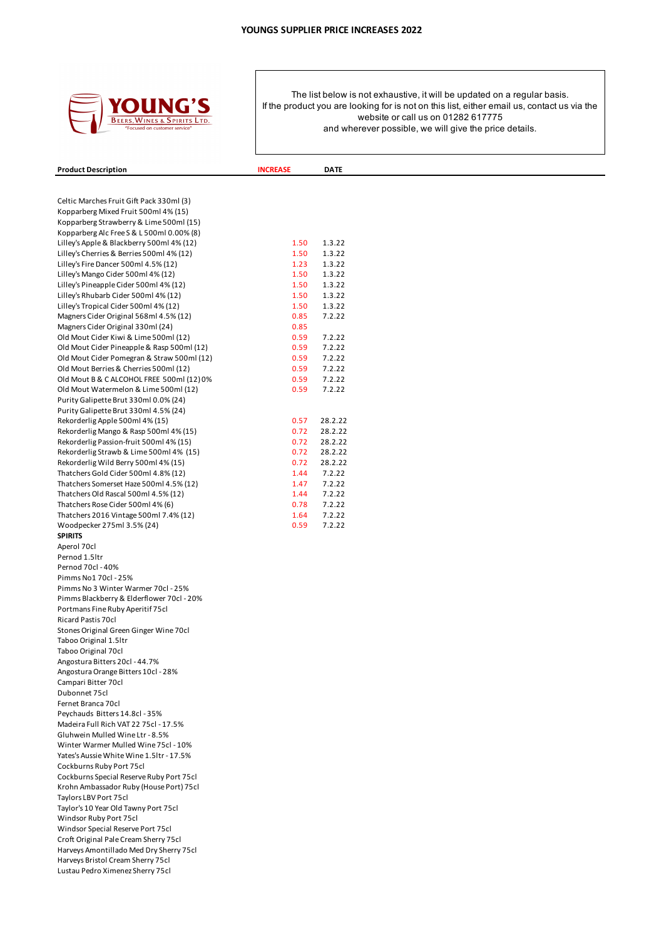

| <b>Product Description</b>                                                     | <b>INCREASE</b> | <b>DATE</b>      |  |
|--------------------------------------------------------------------------------|-----------------|------------------|--|
|                                                                                |                 |                  |  |
| Celtic Marches Fruit Gift Pack 330ml (3)                                       |                 |                  |  |
| Kopparberg Mixed Fruit 500ml 4% (15)                                           |                 |                  |  |
| Kopparberg Strawberry & Lime 500ml (15)                                        |                 |                  |  |
| Kopparberg Alc Free S & L 500ml 0.00% (8)                                      |                 |                  |  |
| Lilley's Apple & Blackberry 500ml 4% (12)                                      | 1.50            | 1.3.22           |  |
| Lilley's Cherries & Berries 500ml 4% (12)                                      | 1.50            | 1.3.22           |  |
| Lilley's Fire Dancer 500ml 4.5% (12)                                           | 1.23            | 1.3.22           |  |
| Lilley's Mango Cider 500ml 4% (12)<br>Lilley's Pineapple Cider 500ml 4% (12)   | 1.50<br>1.50    | 1.3.22<br>1.3.22 |  |
| Lilley's Rhubarb Cider 500ml 4% (12)                                           | 1.50            | 1.3.22           |  |
| Lilley's Tropical Cider 500ml 4% (12)                                          | 1.50            | 1.3.22           |  |
| Magners Cider Original 568ml 4.5% (12)                                         | 0.85            | 7.2.22           |  |
| Magners Cider Original 330ml (24)                                              | 0.85            |                  |  |
| Old Mout Cider Kiwi & Lime 500ml (12)                                          | 0.59            | 7.2.22           |  |
| Old Mout Cider Pineapple & Rasp 500ml (12)                                     | 0.59            | 7.2.22           |  |
| Old Mout Cider Pomegran & Straw 500ml (12)                                     | 0.59            | 7.2.22           |  |
| Old Mout Berries & Cherries 500ml (12)                                         | 0.59            | 7.2.22           |  |
| Old Mout B & C ALCOHOL FREE 500ml (12) 0%                                      | 0.59            | 7.2.22           |  |
| Old Mout Watermelon & Lime 500ml (12)                                          | 0.59            | 7.2.22           |  |
| Purity Galipette Brut 330ml 0.0% (24)<br>Purity Galipette Brut 330ml 4.5% (24) |                 |                  |  |
| Rekorderlig Apple 500ml 4% (15)                                                | 0.57            | 28.2.22          |  |
| Rekorderlig Mango & Rasp 500ml 4% (15)                                         | 0.72            | 28.2.22          |  |
| Rekorderlig Passion-fruit 500ml 4% (15)                                        | 0.72            | 28.2.22          |  |
| Rekorderlig Strawb & Lime 500ml 4% (15)                                        | 0.72            | 28.2.22          |  |
| Rekorderlig Wild Berry 500ml 4% (15)                                           | 0.72            | 28.2.22          |  |
| Thatchers Gold Cider 500ml 4.8% (12)                                           | 1.44            | 7.2.22           |  |
| Thatchers Somerset Haze 500ml 4.5% (12)                                        | 1.47            | 7.2.22           |  |
| Thatchers Old Rascal 500ml 4.5% (12)                                           | 1.44            | 7.2.22           |  |
| Thatchers Rose Cider 500ml 4% (6)                                              | 0.78            | 7.2.22           |  |
| Thatchers 2016 Vintage 500ml 7.4% (12)                                         | 1.64            | 7.2.22           |  |
| Woodpecker 275ml 3.5% (24)                                                     | 0.59            | 7.2.22           |  |
| <b>SPIRITS</b>                                                                 |                 |                  |  |
| Aperol 70cl<br>Pernod 1.5 Itr                                                  |                 |                  |  |
| Pernod 70cl - 40%                                                              |                 |                  |  |
| Pimms No1 70cl - 25%                                                           |                 |                  |  |
| Pimms No 3 Winter Warmer 70cl - 25%                                            |                 |                  |  |
| Pimms Blackberry & Elderflower 70cl - 20%                                      |                 |                  |  |
| Portmans Fine Ruby Aperitif 75cl                                               |                 |                  |  |
| Ricard Pastis 70cl                                                             |                 |                  |  |
| Stones Original Green Ginger Wine 70cl                                         |                 |                  |  |
| Taboo Original 1.5ltr                                                          |                 |                  |  |
| Taboo Original 70cl                                                            |                 |                  |  |
| Angostura Bitters 20cl - 44.7%                                                 |                 |                  |  |
| Angostura Orange Bitters 10cl - 28%                                            |                 |                  |  |
| Campari Bitter 70cl<br>Dubonnet 75cl                                           |                 |                  |  |
| Fernet Branca 70cl                                                             |                 |                  |  |
| Peychauds Bitters 14.8cl - 35%                                                 |                 |                  |  |
| Madeira Full Rich VAT 22 75cl - 17.5%                                          |                 |                  |  |
| Gluhwein Mulled Wine Ltr - 8.5%                                                |                 |                  |  |
| Winter Warmer Mulled Wine 75cl - 10%                                           |                 |                  |  |
| Yates's Aussie White Wine 1.5ltr - 17.5%                                       |                 |                  |  |
| Cockburns Ruby Port 75cl                                                       |                 |                  |  |
| Cockburns Special Reserve Ruby Port 75cl                                       |                 |                  |  |
| Krohn Ambassador Ruby (House Port) 75cl                                        |                 |                  |  |
| Taylors LBV Port 75cl                                                          |                 |                  |  |
| Taylor's 10 Year Old Tawny Port 75cl                                           |                 |                  |  |
| Windsor Ruby Port 75cl                                                         |                 |                  |  |
| Windsor Special Reserve Port 75cl<br>Croft Original Pale Cream Sherry 75cl     |                 |                  |  |
| Harveys Amontillado Med Dry Sherry 75cl                                        |                 |                  |  |
| Harveys Bristol Cream Sherry 75cl                                              |                 |                  |  |
| Lustau Pedro Ximenez Sherry 75cl                                               |                 |                  |  |
|                                                                                |                 |                  |  |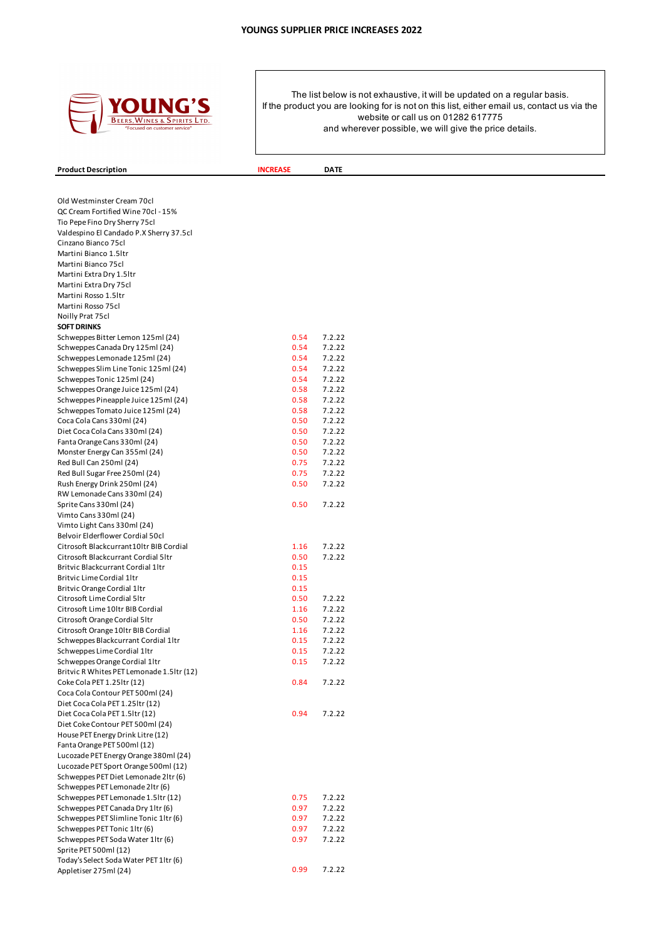

# **Product Description INCREASE DATE**

| Old Westminster Cream 70cl                                            |              |        |
|-----------------------------------------------------------------------|--------------|--------|
| QC Cream Fortified Wine 70cl - 15%                                    |              |        |
| Tio Pepe Fino Dry Sherry 75cl                                         |              |        |
| Valdespino El Candado P.X Sherry 37.5cl                               |              |        |
| Cinzano Bianco 75cl                                                   |              |        |
| Martini Bianco 1.5ltr                                                 |              |        |
| Martini Bianco 75cl                                                   |              |        |
| Martini Extra Dry 1.5ltr                                              |              |        |
| Martini Extra Dry 75cl                                                |              |        |
| Martini Rosso 1.5ltr                                                  |              |        |
| Martini Rosso 75cl                                                    |              |        |
| Noilly Prat 75cl                                                      |              |        |
| <b>SOFT DRINKS</b>                                                    |              | 7.2.22 |
| Schweppes Bitter Lemon 125ml (24)<br>Schweppes Canada Dry 125ml (24)  | 0.54<br>0.54 | 7.2.22 |
| Schweppes Lemonade 125ml (24)                                         | 0.54         | 7.2.22 |
| Schweppes Slim Line Tonic 125ml (24)                                  | 0.54         | 7.2.22 |
| Schweppes Tonic 125ml (24)                                            | 0.54         | 7.2.22 |
| Schweppes Orange Juice 125ml (24)                                     | 0.58         | 7.2.22 |
| Schweppes Pineapple Juice 125ml (24)                                  | 0.58         | 7.2.22 |
| Schweppes Tomato Juice 125ml (24)                                     | 0.58         | 7.2.22 |
| Coca Cola Cans 330ml (24)                                             | 0.50         | 7.2.22 |
| Diet Coca Cola Cans 330ml (24)                                        | 0.50         | 7.2.22 |
| Fanta Orange Cans 330ml (24)                                          | 0.50         | 7.2.22 |
| Monster Energy Can 355ml (24)                                         | 0.50         | 7.2.22 |
| Red Bull Can 250ml (24)                                               | 0.75         | 7.2.22 |
| Red Bull Sugar Free 250ml (24)                                        | 0.75         | 7.2.22 |
| Rush Energy Drink 250ml (24)                                          | 0.50         | 7.2.22 |
| RW Lemonade Cans 330ml (24)                                           |              |        |
| Sprite Cans 330ml (24)                                                | 0.50         | 7.2.22 |
| Vimto Cans 330ml (24)                                                 |              |        |
| Vimto Light Cans 330ml (24)                                           |              |        |
| Belvoir Elderflower Cordial 50cl                                      |              |        |
| Citrosoft Blackcurrant10ltr BIB Cordial                               | 1.16         | 7.2.22 |
| Citrosoft Blackcurrant Cordial 51tr                                   | 0.50         | 7.2.22 |
| Britvic Blackcurrant Cordial 1ltr                                     | 0.15         |        |
| <b>Britvic Lime Cordial 1ltr</b>                                      | 0.15         |        |
| Britvic Orange Cordial 1ltr                                           | 0.15         |        |
| Citrosoft Lime Cordial 5ltr                                           | 0.50         | 7.2.22 |
| Citrosoft Lime 10ltr BIB Cordial                                      | 1.16         | 7.2.22 |
| Citrosoft Orange Cordial 5ltr                                         | 0.50         | 7.2.22 |
| Citrosoft Orange 10ltr BIB Cordial                                    | 1.16         | 7.2.22 |
| Schweppes Blackcurrant Cordial 1ltr                                   | 0.15         | 7.2.22 |
| Schweppes Lime Cordial 1ltr                                           | 0.15         | 7.2.22 |
| Schweppes Orange Cordial 1ltr                                         | 0.15         | 7.2.22 |
| Britvic R Whites PET Lemonade 1.5ltr (12)                             |              |        |
| Coke Cola PET 1.25ltr (12)                                            | 0.84         | 7.2.22 |
| Coca Cola Contour PET 500ml (24)                                      |              |        |
| Diet Coca Cola PET 1.25 ltr (12)                                      |              |        |
| Diet Coca Cola PET 1.5ltr (12)                                        | 0.94         | 7.2.22 |
| Diet Coke Contour PET 500ml (24)<br>House PET Energy Drink Litre (12) |              |        |
| Fanta Orange PET 500ml (12)                                           |              |        |
| Lucozade PET Energy Orange 380ml (24)                                 |              |        |
| Lucozade PET Sport Orange 500ml (12)                                  |              |        |
| Schweppes PET Diet Lemonade 2ltr (6)                                  |              |        |
| Schweppes PET Lemonade 2ltr (6)                                       |              |        |
| Schweppes PET Lemonade 1.5ltr (12)                                    | 0.75         | 7.2.22 |
| Schweppes PET Canada Dry 1ltr (6)                                     | 0.97         | 7.2.22 |
| Schweppes PET Slimline Tonic 1ltr (6)                                 | 0.97         | 7.2.22 |
| Schweppes PET Tonic 1ltr (6)                                          | 0.97         | 7.2.22 |
| Schweppes PET Soda Water 1ltr (6)                                     | 0.97         | 7.2.22 |
| Sprite PET 500ml (12)                                                 |              |        |
| Today's Select Soda Water PET 1ltr (6)                                |              |        |
| Appletiser 275ml (24)                                                 | 0.99         | 7.2.22 |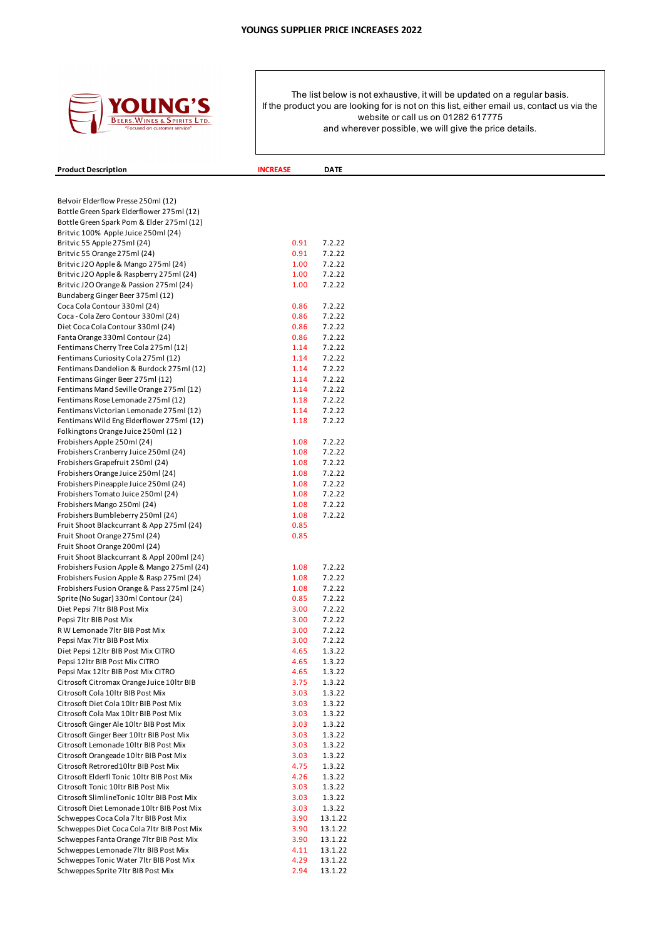

| <b>Product Description</b>                                                          | <b>INCREASE</b> | <b>DATE</b>      |
|-------------------------------------------------------------------------------------|-----------------|------------------|
|                                                                                     |                 |                  |
|                                                                                     |                 |                  |
| Belvoir Elderflow Presse 250ml (12)                                                 |                 |                  |
| Bottle Green Spark Elderflower 275ml (12)                                           |                 |                  |
| Bottle Green Spark Pom & Elder 275ml (12)                                           |                 |                  |
| Britvic 100% Apple Juice 250ml (24)                                                 |                 |                  |
| Britvic 55 Apple 275ml (24)                                                         | 0.91            | 7.2.22           |
| Britvic 55 Orange 275ml (24)                                                        | 0.91            | 7.2.22           |
| Britvic J2O Apple & Mango 275ml (24)                                                | 1.00            | 7.2.22           |
| Britvic J2O Apple & Raspberry 275ml (24)                                            | 1.00            | 7.2.22           |
| Britvic J2O Orange & Passion 275ml (24)                                             | 1.00            | 7.2.22           |
| Bundaberg Ginger Beer 375ml (12)                                                    |                 |                  |
| Coca Cola Contour 330ml (24)                                                        | 0.86            | 7.2.22           |
| Coca - Cola Zero Contour 330ml (24)                                                 | 0.86            | 7.2.22           |
| Diet Coca Cola Contour 330ml (24)                                                   | 0.86            | 7.2.22           |
| Fanta Orange 330ml Contour (24)                                                     | 0.86            | 7.2.22           |
| Fentimans Cherry Tree Cola 275ml (12)                                               | 1.14            | 7.2.22           |
| Fentimans Curiosity Cola 275ml (12)                                                 | 1.14            | 7.2.22           |
| Fentimans Dandelion & Burdock 275ml (12)                                            | 1.14            | 7.2.22           |
| Fentimans Ginger Beer 275ml (12)                                                    | 1.14            | 7.2.22           |
| Fentimans Mand Seville Orange 275ml (12)                                            | 1.14            | 7.2.22           |
| Fentimans Rose Lemonade 275ml (12)                                                  | 1.18            | 7.2.22           |
| Fentimans Victorian Lemonade 275ml (12)                                             | 1.14            | 7.2.22           |
| Fentimans Wild Eng Elderflower 275ml (12)                                           | 1.18            | 7.2.22           |
| Folkingtons Orange Juice 250ml (12)                                                 |                 |                  |
| Frobishers Apple 250ml (24)                                                         | 1.08            | 7.2.22           |
| Frobishers Cranberry Juice 250ml (24)                                               | 1.08            | 7.2.22           |
| Frobishers Grapefruit 250ml (24)                                                    | 1.08            | 7.2.22           |
| Frobishers Orange Juice 250ml (24)                                                  | 1.08            | 7.2.22           |
| Frobishers Pineapple Juice 250ml (24)                                               | 1.08            | 7.2.22           |
| Frobishers Tomato Juice 250ml (24)                                                  | 1.08            | 7.2.22           |
| Frobishers Mango 250ml (24)                                                         | 1.08            | 7.2.22           |
| Frobishers Bumbleberry 250ml (24)                                                   | 1.08            | 7.2.22           |
| Fruit Shoot Blackcurrant & App 275ml (24)                                           | 0.85            |                  |
| Fruit Shoot Orange 275ml (24)                                                       | 0.85            |                  |
| Fruit Shoot Orange 200ml (24)                                                       |                 |                  |
| Fruit Shoot Blackcurrant & Appl 200ml (24)                                          |                 |                  |
| Frobishers Fusion Apple & Mango 275ml (24)                                          | 1.08            | 7.2.22           |
| Frobishers Fusion Apple & Rasp 275ml (24)                                           | 1.08            | 7.2.22           |
| Frobishers Fusion Orange & Pass 275ml (24)                                          | 1.08            | 7.2.22           |
| Sprite (No Sugar) 330ml Contour (24)                                                | 0.85            | 7.2.22           |
| Diet Pepsi 7ltr BIB Post Mix                                                        | 3.00            | 7.2.22           |
| Pepsi 7ltr BIB Post Mix                                                             | 3.00            | 7.2.22           |
| R W Lemonade 7 Itr BIB Post Mix                                                     | 3.00            | 7.2.22           |
| Pepsi Max 7ltr BIB Post Mix                                                         | 3.00            | 7.2.22           |
| Diet Pepsi 12ltr BIB Post Mix CITRO                                                 | 4.65            | 1.3.22           |
| Pepsi 12 Itr BIB Post Mix CITRO                                                     | 4.65            | 1.3.22           |
| Pepsi Max 12ltr BIB Post Mix CITRO                                                  | 4.65            | 1.3.22           |
| Citrosoft Citromax Orange Juice 10ltr BIB<br>Citrosoft Cola 10ltr BIB Post Mix      | 3.75            | 1.3.22           |
|                                                                                     | 3.03            | 1.3.22           |
| Citrosoft Diet Cola 10ltr BIB Post Mix                                              | 3.03            | 1.3.22           |
| Citrosoft Cola Max 10ltr BIB Post Mix                                               | 3.03<br>3.03    | 1.3.22<br>1.3.22 |
| Citrosoft Ginger Ale 10ltr BIB Post Mix<br>Citrosoft Ginger Beer 10ltr BIB Post Mix | 3.03            | 1.3.22           |
| Citrosoft Lemonade 10ltr BIB Post Mix                                               | 3.03            | 1.3.22           |
| Citrosoft Orangeade 10ltr BIB Post Mix                                              | 3.03            | 1.3.22           |
| Citrosoft Retrored10ltr BIB Post Mix                                                | 4.75            | 1.3.22           |
| Citrosoft Elderfl Tonic 10ltr BIB Post Mix                                          | 4.26            | 1.3.22           |
| Citrosoft Tonic 10ltr BIB Post Mix                                                  | 3.03            | 1.3.22           |
| Citrosoft SlimlineTonic 10ltr BIB Post Mix                                          | 3.03            | 1.3.22           |
| Citrosoft Diet Lemonade 10ltr BIB Post Mix                                          | 3.03            | 1.3.22           |
| Schweppes Coca Cola 7ltr BIB Post Mix                                               | 3.90            | 13.1.22          |
| Schweppes Diet Coca Cola 71tr BIB Post Mix                                          | 3.90            | 13.1.22          |
| Schweppes Fanta Orange 7ltr BIB Post Mix                                            | 3.90            | 13.1.22          |
| Schweppes Lemonade 7ltr BIB Post Mix                                                | 4.11            | 13.1.22          |
| Schweppes Tonic Water 7ltr BIB Post Mix                                             | 4.29            | 13.1.22          |
|                                                                                     | 2.94            | 13.1.22          |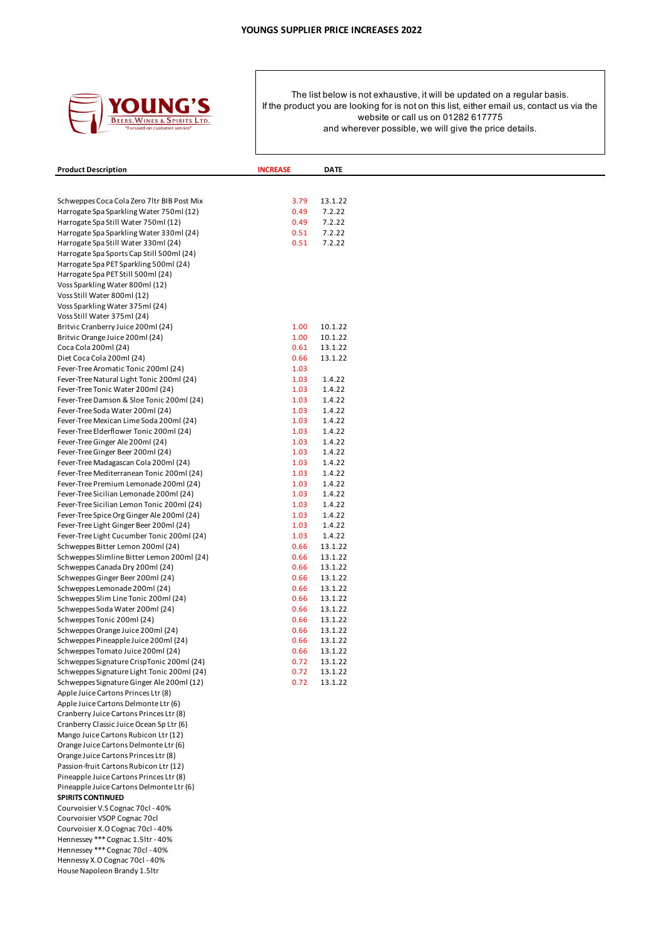

| <b>Product Description</b>                                                              | <b>INCREASE</b> | <b>DATE</b>        |  |
|-----------------------------------------------------------------------------------------|-----------------|--------------------|--|
|                                                                                         |                 |                    |  |
|                                                                                         |                 |                    |  |
| Schweppes Coca Cola Zero 7 Itr BIB Post Mix<br>Harrogate Spa Sparkling Water 750ml (12) | 3.79<br>0.49    | 13.1.22<br>7.2.22  |  |
| Harrogate Spa Still Water 750ml (12)                                                    | 0.49            | 7.2.22             |  |
| Harrogate Spa Sparkling Water 330ml (24)                                                | 0.51            | 7.2.22             |  |
| Harrogate Spa Still Water 330ml (24)                                                    | 0.51            | 7.2.22             |  |
| Harrogate Spa Sports Cap Still 500ml (24)                                               |                 |                    |  |
| Harrogate Spa PET Sparkling 500ml (24)                                                  |                 |                    |  |
| Harrogate Spa PET Still 500ml (24)                                                      |                 |                    |  |
| Voss Sparkling Water 800ml (12)<br>Voss Still Water 800ml (12)                          |                 |                    |  |
| Voss Sparkling Water 375ml (24)                                                         |                 |                    |  |
| Voss Still Water 375ml (24)                                                             |                 |                    |  |
| Britvic Cranberry Juice 200ml (24)                                                      | 1.00            | 10.1.22            |  |
| Britvic Orange Juice 200ml (24)                                                         | 1.00            | 10.1.22            |  |
| Coca Cola 200ml (24)                                                                    | 0.61            | 13.1.22            |  |
| Diet Coca Cola 200ml (24)                                                               | 0.66            | 13.1.22            |  |
| Fever-Tree Aromatic Tonic 200ml (24)                                                    | 1.03            |                    |  |
| Fever-Tree Natural Light Tonic 200ml (24)                                               | 1.03<br>1.03    | 1.4.22<br>1.4.22   |  |
| Fever-Tree Tonic Water 200ml (24)<br>Fever-Tree Damson & Sloe Tonic 200ml (24)          | 1.03            | 1.4.22             |  |
| Fever-Tree Soda Water 200ml (24)                                                        | 1.03            | 1.4.22             |  |
| Fever-Tree Mexican Lime Soda 200ml (24)                                                 | 1.03            | 1.4.22             |  |
| Fever-Tree Elderflower Tonic 200ml (24)                                                 | 1.03            | 1.4.22             |  |
| Fever-Tree Ginger Ale 200ml (24)                                                        | 1.03            | 1.4.22             |  |
| Fever-Tree Ginger Beer 200ml (24)                                                       | 1.03            | 1.4.22             |  |
| Fever-Tree Madagascan Cola 200ml (24)                                                   | 1.03            | 1.4.22             |  |
| Fever-Tree Mediterranean Tonic 200ml (24)                                               | 1.03            | 1.4.22             |  |
| Fever-Tree Premium Lemonade 200ml (24)                                                  | 1.03            | 1.4.22             |  |
| Fever-Tree Sicilian Lemonade 200ml (24)<br>Fever-Tree Sicilian Lemon Tonic 200ml (24)   | 1.03<br>1.03    | 1.4.22<br>1.4.22   |  |
| Fever-Tree Spice Org Ginger Ale 200ml (24)                                              | 1.03            | 1.4.22             |  |
| Fever-Tree Light Ginger Beer 200ml (24)                                                 | 1.03            | 1.4.22             |  |
| Fever-Tree Light Cucumber Tonic 200ml (24)                                              | 1.03            | 1.4.22             |  |
| Schweppes Bitter Lemon 200ml (24)                                                       | 0.66            | 13.1.22            |  |
| Schweppes Slimline Bitter Lemon 200ml (24)                                              | 0.66            | 13.1.22            |  |
| Schweppes Canada Dry 200ml (24)                                                         | 0.66            | 13.1.22            |  |
| Schweppes Ginger Beer 200ml (24)                                                        | 0.66            | 13.1.22            |  |
| Schweppes Lemonade 200ml (24)<br>Schweppes Slim Line Tonic 200ml (24)                   | 0.66<br>0.66    | 13.1.22<br>13.1.22 |  |
| Schweppes Soda Water 200ml (24)                                                         | 0.66            | 13.1.22            |  |
| Schweppes Tonic 200ml (24)                                                              | 0.66            | 13.1.22            |  |
| Schweppes Orange Juice 200ml (24)                                                       | 0.66            | 13.1.22            |  |
| Schweppes Pineapple Juice 200ml (24)                                                    | 0.66            | 13.1.22            |  |
| Schweppes Tomato Juice 200ml (24)                                                       | 0.66            | 13.1.22            |  |
| Schweppes Signature CrispTonic 200ml (24)                                               | 0.72            | 13.1.22            |  |
| Schweppes Signature Light Tonic 200ml (24)                                              | 0.72            | 13.1.22            |  |
| Schweppes Signature Ginger Ale 200ml (12)<br>Apple Juice Cartons Princes Ltr (8)        | 0.72            | 13.1.22            |  |
| Apple Juice Cartons Delmonte Ltr (6)                                                    |                 |                    |  |
| Cranberry Juice Cartons Princes Ltr (8)                                                 |                 |                    |  |
| Cranberry Classic Juice Ocean Sp Ltr (6)                                                |                 |                    |  |
| Mango Juice Cartons Rubicon Ltr (12)                                                    |                 |                    |  |
| Orange Juice Cartons Delmonte Ltr (6)                                                   |                 |                    |  |
| Orange Juice Cartons Princes Ltr (8)                                                    |                 |                    |  |
| Passion-fruit Cartons Rubicon Ltr (12)                                                  |                 |                    |  |
| Pineapple Juice Cartons Princes Ltr (8)                                                 |                 |                    |  |
| Pineapple Juice Cartons Delmonte Ltr (6)<br><b>SPIRITS CONTINUED</b>                    |                 |                    |  |
| Courvoisier V.S Cognac 70cl - 40%                                                       |                 |                    |  |
| Courvoisier VSOP Cognac 70cl                                                            |                 |                    |  |
| Courvoisier X.O Cognac 70cl - 40%                                                       |                 |                    |  |
| Hennessey *** Cognac 1.5ltr - 40%                                                       |                 |                    |  |
| Hennessey *** Cognac 70cl - 40%                                                         |                 |                    |  |
| Hennessy X.O Cognac 70cl - 40%                                                          |                 |                    |  |
| House Napoleon Brandy 1.5ltr                                                            |                 |                    |  |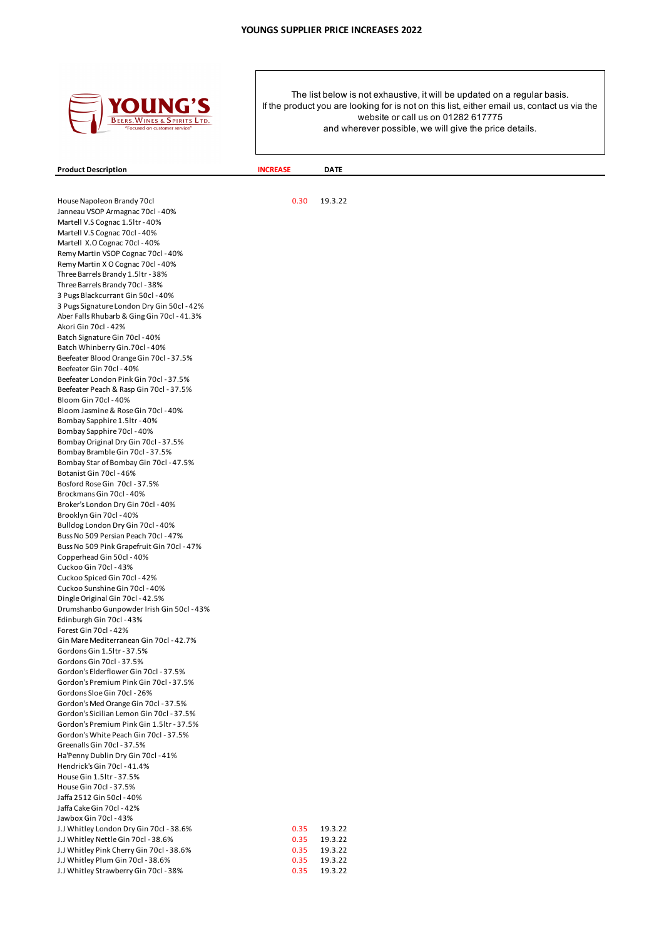

**Product Description INCREASE DATE** 

House Napoleon Brandy 70cl 0.30 19.3.22 Janneau VSOP Armagnac 70cl - 40% Martell V.S Cognac 1.5ltr - 40% Martell V.S Cognac 70cl - 40% Martell X.O Cognac 70cl - 40% Remy Martin VSOP Cognac 70cl - 40% Remy Martin X O Cognac 70cl - 40% Three Barrels Brandy 1.5ltr - 38% Three Barrels Brandy 70cl - 38% 3 Pugs Blackcurrant Gin 50cl - 40% 3 Pugs Signature London Dry Gin 50cl - 42% Aber Falls Rhubarb & Ging Gin 70cl - 41.3% Akori Gin 70cl - 42% Batch Signature Gin 70cl - 40% Batch Whinberry Gin.70cl - 40% Beefeater Blood Orange Gin 70cl - 37.5% Beefeater Gin 70cl - 40% Beefeater London Pink Gin 70cl - 37.5% Beefeater Peach & Rasp Gin 70cl - 37.5% Bloom Gin 70cl - 40% Bloom Jasmine & Rose Gin 70cl - 40% Bombay Sapphire 1.5ltr - 40% Bombay Sapphire 70cl - 40% Bombay Original Dry Gin 70cl - 37.5% Bombay Bramble Gin 70cl - 37.5% Bombay Star of Bombay Gin 70cl - 47.5% Botanist Gin 70cl - 46% Bosford Rose Gin 70cl - 37.5% Brockmans Gin 70cl - 40% Broker's London Dry Gin 70cl - 40% Brooklyn Gin 70cl - 40% Bulldog London Dry Gin 70cl - 40% Buss No 509 Persian Peach 70cl - 47% Buss No 509 Pink Grapefruit Gin 70cl - 47% Copperhead Gin 50cl - 40% Cuckoo Gin 70cl - 43% Cuckoo Spiced Gin 70cl - 42% Cuckoo Sunshine Gin 70cl - 40% Dingle Original Gin 70cl - 42.5% Drumshanbo Gunpowder Irish Gin 50cl - 43% Edinburgh Gin 70cl - 43% Forest Gin 70cl - 42% Gin Mare Mediterranean Gin 70cl - 42.7% Gordons Gin 1.5ltr - 37.5% Gordons Gin 70cl - 37.5% Gordon's Elderflower Gin 70cl - 37.5% Gordon's Premium Pink Gin 70cl - 37.5% Gordons Sloe Gin 70cl - 26% Gordon's Med Orange Gin 70cl - 37.5% Gordon's Sicilian Lemon Gin 70cl - 37.5% Gordon's Premium Pink Gin 1.5ltr - 37.5% Gordon's White Peach Gin 70cl - 37.5% Greenalls Gin 70cl - 37.5% Ha'Penny Dublin Dry Gin 70cl - 41% Hendrick's Gin 70cl - 41.4% House Gin 1.5ltr - 37.5% House Gin 70cl - 37.5% Jaffa 2512 Gin 50cl - 40% Jaffa Cake Gin 70cl - 42% Jawbox Gin 70cl - 43% J.J Whitley London Dry Gin 70cl - 38.6% 0.35 19.3.22 J.J Whitley Nettle Gin 70cl - 38.6% 0.35 19.3.22 J.J Whitley Pink Cherry Gin 70cl - 38.6% 0.35 19.3.22 J.J Whitley Plum Gin 70cl - 38.6% 0.35 19.3.22 J.J Whitley Strawberry Gin 70cl - 38% 0.35 19.3.22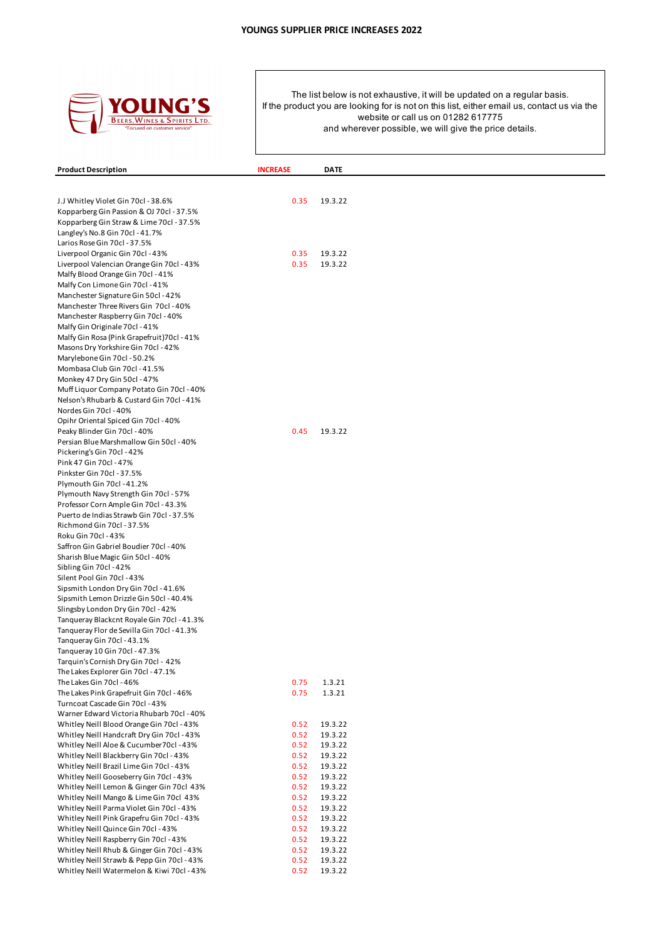

|                                                                                        |                 | <b>DATE</b>        |  |
|----------------------------------------------------------------------------------------|-----------------|--------------------|--|
| <b>Product Description</b>                                                             | <b>INCREASE</b> |                    |  |
|                                                                                        |                 |                    |  |
| J.J Whitley Violet Gin 70cl - 38.6%                                                    | 0.35            | 19.3.22            |  |
| Kopparberg Gin Passion & OJ 70cl - 37.5%                                               |                 |                    |  |
| Kopparberg Gin Straw & Lime 70cl - 37.5%                                               |                 |                    |  |
| Langley's No.8 Gin 70cl - 41.7%                                                        |                 |                    |  |
| Larios Rose Gin 70cl - 37.5%                                                           | 0.35            | 19.3.22            |  |
| Liverpool Organic Gin 70cl - 43%<br>Liverpool Valencian Orange Gin 70cl - 43%          | 0.35            | 19.3.22            |  |
| Malfy Blood Orange Gin 70cl - 41%                                                      |                 |                    |  |
| Malfy Con Limone Gin 70cl - 41%                                                        |                 |                    |  |
| Manchester Signature Gin 50cl - 42%                                                    |                 |                    |  |
| Manchester Three Rivers Gin 70cl - 40%                                                 |                 |                    |  |
| Manchester Raspberry Gin 70cl - 40%                                                    |                 |                    |  |
| Malfy Gin Originale 70cl - 41%                                                         |                 |                    |  |
| Malfy Gin Rosa (Pink Grapefruit) 70cl - 41%                                            |                 |                    |  |
| Masons Dry Yorkshire Gin 70cl - 42%                                                    |                 |                    |  |
| Marylebone Gin 70cl - 50.2%                                                            |                 |                    |  |
| Mombasa Club Gin 70cl - 41.5%                                                          |                 |                    |  |
| Monkey 47 Dry Gin 50cl - 47%                                                           |                 |                    |  |
| Muff Liquor Company Potato Gin 70cl - 40%<br>Nelson's Rhubarb & Custard Gin 70cl - 41% |                 |                    |  |
| Nordes Gin 70cl - 40%                                                                  |                 |                    |  |
| Opihr Oriental Spiced Gin 70cl - 40%                                                   |                 |                    |  |
| Peaky Blinder Gin 70cl - 40%                                                           | 0.45            | 19.3.22            |  |
| Persian Blue Marshmallow Gin 50cl - 40%                                                |                 |                    |  |
| Pickering's Gin 70cl - 42%                                                             |                 |                    |  |
| Pink 47 Gin 70cl - 47%                                                                 |                 |                    |  |
| Pinkster Gin 70cl - 37.5%                                                              |                 |                    |  |
| Plymouth Gin 70cl - 41.2%                                                              |                 |                    |  |
| Plymouth Navy Strength Gin 70cl - 57%                                                  |                 |                    |  |
| Professor Corn Ample Gin 70cl - 43.3%                                                  |                 |                    |  |
| Puerto de Indias Strawb Gin 70cl - 37.5%                                               |                 |                    |  |
| Richmond Gin 70cl - 37.5%                                                              |                 |                    |  |
| Roku Gin 70cl - 43%<br>Saffron Gin Gabriel Boudier 70cl - 40%                          |                 |                    |  |
| Sharish Blue Magic Gin 50cl - 40%                                                      |                 |                    |  |
| Sibling Gin 70cl - 42%                                                                 |                 |                    |  |
| Silent Pool Gin 70cl - 43%                                                             |                 |                    |  |
| Sipsmith London Dry Gin 70cl - 41.6%                                                   |                 |                    |  |
| Sipsmith Lemon Drizzle Gin 50cl - 40.4%                                                |                 |                    |  |
| Slingsby London Dry Gin 70cl - 42%                                                     |                 |                    |  |
| Tanqueray Blackcnt Royale Gin 70cl - 41.3%                                             |                 |                    |  |
| Tanqueray Flor de Sevilla Gin 70cl - 41.3%                                             |                 |                    |  |
| Tanqueray Gin 70cl - 43.1%                                                             |                 |                    |  |
| Tanqueray 10 Gin 70cl - 47.3%                                                          |                 |                    |  |
| Tarquin's Cornish Dry Gin 70cl - 42%                                                   |                 |                    |  |
| The Lakes Explorer Gin 70cl - 47.1%                                                    |                 |                    |  |
| The Lakes Gin 70cl - 46%                                                               | 0.75<br>0.75    | 1.3.21<br>1.3.21   |  |
| The Lakes Pink Grapefruit Gin 70cl - 46%<br>Turncoat Cascade Gin 70cl - 43%            |                 |                    |  |
| Warner Edward Victoria Rhubarb 70cl - 40%                                              |                 |                    |  |
| Whitley Neill Blood Orange Gin 70cl - 43%                                              | 0.52            | 19.3.22            |  |
| Whitley Neill Handcraft Dry Gin 70cl - 43%                                             | 0.52            | 19.3.22            |  |
| Whitley Neill Aloe & Cucumber 70cl - 43%                                               | 0.52            | 19.3.22            |  |
| Whitley Neill Blackberry Gin 70cl - 43%                                                | 0.52            | 19.3.22            |  |
| Whitley Neill Brazil Lime Gin 70cl - 43%                                               | 0.52            | 19.3.22            |  |
| Whitley Neill Gooseberry Gin 70cl - 43%                                                | 0.52            | 19.3.22            |  |
| Whitley Neill Lemon & Ginger Gin 70cl 43%                                              | 0.52            | 19.3.22            |  |
| Whitley Neill Mango & Lime Gin 70cl 43%                                                | 0.52            | 19.3.22            |  |
| Whitley Neill Parma Violet Gin 70cl - 43%                                              | 0.52            | 19.3.22            |  |
| Whitley Neill Pink Grapefru Gin 70cl - 43%                                             | 0.52            | 19.3.22            |  |
| Whitley Neill Quince Gin 70cl - 43%                                                    | 0.52            | 19.3.22            |  |
| Whitley Neill Raspberry Gin 70cl - 43%<br>Whitley Neill Rhub & Ginger Gin 70cl - 43%   | 0.52<br>0.52    | 19.3.22<br>19.3.22 |  |
| Whitley Neill Strawb & Pepp Gin 70cl - 43%                                             | 0.52            | 19.3.22            |  |
| Whitley Neill Watermelon & Kiwi 70cl - 43%                                             | 0.52            | 19.3.22            |  |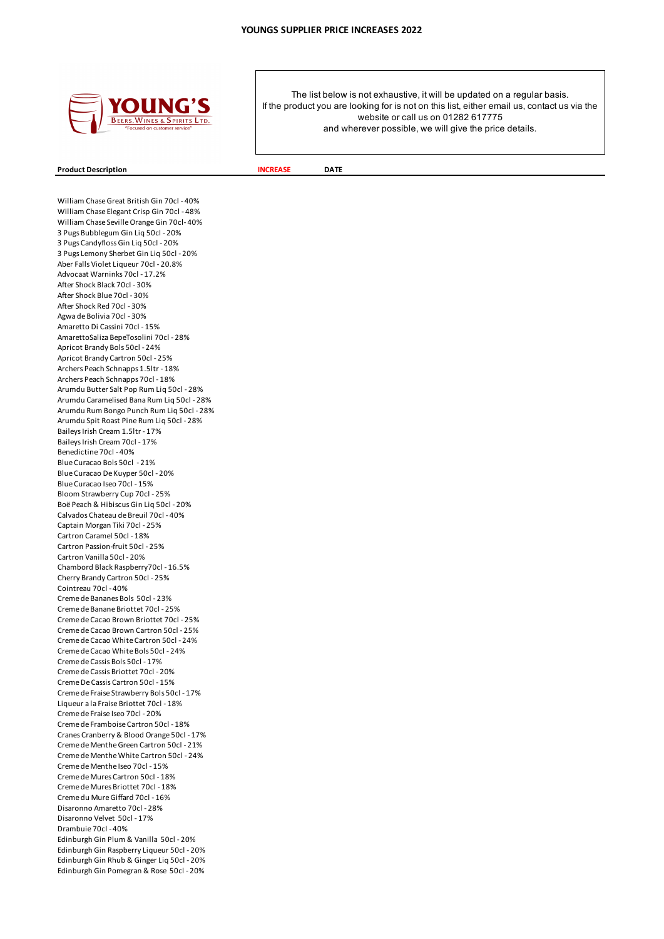

### **Product Description INCREASE DATE**

William Chase Great British Gin 70cl - 40% William Chase Elegant Crisp Gin 70cl - 48% William Chase Seville Orange Gin 70cl- 40% 3 Pugs Bubblegum Gin Liq 50cl - 20% 3 Pugs Candyfloss Gin Liq 50cl - 20% 3 Pugs Lemony Sherbet Gin Liq 50cl - 20% Aber Falls Violet Liqueur 70cl - 20.8% Advocaat Warninks 70cl - 17.2% After Shock Black 70cl - 30% After Shock Blue 70cl - 30% After Shock Red 70cl - 30% Agwa de Bolivia 70cl - 30% Amaretto Di Cassini 70cl - 15% AmarettoSaliza BepeTosolini 70cl - 28% Apricot Brandy Bols 50cl - 24% Apricot Brandy Cartron 50cl - 25% Archers Peach Schnapps 1.5ltr - 18% Archers Peach Schnapps 70cl - 18% Arumdu Butter Salt Pop Rum Liq 50cl - 28% Arumdu Caramelised Bana Rum Liq 50cl - 28% Arumdu Rum Bongo Punch Rum Liq 50cl - 28% Arumdu Spit Roast Pine Rum Liq 50cl - 28% Baileys Irish Cream 1.5ltr - 17% Baileys Irish Cream 70cl - 17% Benedictine 70cl - 40% Blue Curacao Bols 50cl - 21% Blue Curacao De Kuyper 50cl - 20% Blue Curacao Iseo 70cl - 15% Bloom Strawberry Cup 70cl - 25% Boë Peach & Hibiscus Gin Liq 50cl - 20% Calvados Chateau de Breuil 70cl - 40% Captain Morgan Tiki 70cl - 25% Cartron Caramel 50cl - 18% Cartron Passion-fruit 50cl - 25% Cartron Vanilla 50cl - 20% Chambord Black Raspberry70cl - 16.5% Cherry Brandy Cartron 50cl - 25% Cointreau 70cl - 40% Creme de Bananes Bols 50cl - 23% Creme de Banane Briottet 70cl - 25% Creme de Cacao Brown Briottet 70cl - 25% Creme de Cacao Brown Cartron 50cl - 25% Creme de Cacao White Cartron 50cl - 24% Creme de Cacao White Bols 50cl - 24% Creme de Cassis Bols 50cl - 17% Creme de Cassis Briottet 70cl - 20% Creme De Cassis Cartron 50cl - 15% Creme de Fraise Strawberry Bols 50cl - 17% Liqueur a la Fraise Briottet 70cl - 18% Creme de Fraise Iseo 70cl - 20% Creme de Framboise Cartron 50cl - 18% Cranes Cranberry & Blood Orange 50cl - 17% Creme de Menthe Green Cartron 50cl - 21% Creme de Menthe White Cartron 50cl - 24% Creme de Menthe Iseo 70cl - 15% Creme de Mures Cartron 50cl - 18% Creme de Mures Briottet 70cl - 18% Creme du Mure Giffard 70cl - 16% Disaronno Amaretto 70cl - 28% Disaronno Velvet 50cl - 17% Drambuie 70cl - 40% Edinburgh Gin Plum & Vanilla 50cl - 20% Edinburgh Gin Raspberry Liqueur 50cl - 20% Edinburgh Gin Rhub & Ginger Liq 50cl - 20% Edinburgh Gin Pomegran & Rose 50cl - 20%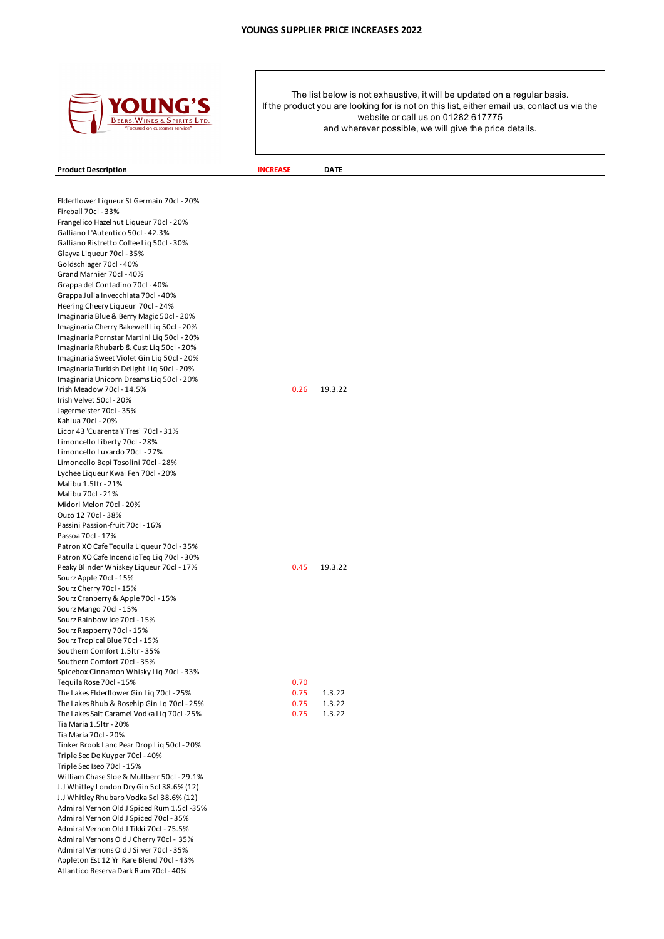

**Product Description INCREASE DATE** 

The list below is not exhaustive, it will be updated on a regular basis. If the product you are looking for is not on this list, either email us, contact us via the website or call us on 01282 617775 and wherever possible, we will give the price details.

Elderflower Liqueur St Germain 70cl - 20% Fireball 70cl - 33% Frangelico Hazelnut Liqueur 70cl - 20% Galliano L'Autentico 50cl - 42.3% Galliano Ristretto Coffee Liq 50cl - 30% Glayva Liqueur 70cl - 35% Goldschlager 70cl - 40% Grand Marnier 70cl - 40% Grappa del Contadino 70cl - 40% Grappa Julia Invecchiata 70cl - 40% Heering Cheery Liqueur 70cl - 24% Imaginaria Blue & Berry Magic 50cl - 20% Imaginaria Cherry Bakewell Liq 50cl - 20% Imaginaria Pornstar Martini Liq 50cl - 20% Imaginaria Rhubarb & Cust Liq 50cl - 20% Imaginaria Sweet Violet Gin Liq 50cl - 20% Imaginaria Turkish Delight Liq 50cl - 20% Imaginaria Unicorn Dreams Liq 50cl - 20% Irish Meadow 70cl - 14.5% 0.26 19.3.22 Irish Velvet 50cl - 20% Jagermeister 70cl - 35% Kahlua 70cl - 20% Licor 43 'Cuarenta Y Tres' 70cl - 31% Limoncello Liberty 70cl - 28% Limoncello Luxardo 70cl - 27% Limoncello Bepi Tosolini 70cl - 28% Lychee Liqueur Kwai Feh 70cl - 20% Malibu 1.5ltr - 21% Malibu 70cl - 21% Midori Melon 70cl - 20% Ouzo 12 70cl - 38% Passini Passion-fruit 70cl - 16% Passoa 70cl - 17% Patron XO Cafe Tequila Liqueur 70cl - 35% Patron XO Cafe IncendioTeq Liq 70cl - 30% Peaky Blinder Whiskey Liqueur 70cl - 17% 19.3.22 Sourz Apple 70cl - 15% Sourz Cherry 70cl - 15% Sourz Cranberry & Apple 70cl - 15% Sourz Mango 70cl - 15% Sourz Rainbow Ice 70cl - 15% Sourz Raspberry 70cl - 15% Sourz Tropical Blue 70cl - 15% Southern Comfort 1.5ltr - 35% Southern Comfort 70cl - 35% Spicebox Cinnamon Whisky Liq 70cl - 33% Tequila Rose 70cl - 15% 0.70 The Lakes Elderflower Gin Lig 70cl - 25% 0.75 1.3.22 The Lakes Rhub & Rosehip Gin Lq 70cl - 25% 0.75 1.3.22 The Lakes Salt Caramel Vodka Liq 70cl -25% 0.75 1.3.22 Tia Maria 1.5ltr - 20% Tia Maria 70cl - 20% Tinker Brook Lanc Pear Drop Liq 50cl - 20% Triple Sec De Kuyper 70cl - 40% Triple Sec Iseo 70cl - 15% William Chase Sloe & Mullberr 50cl - 29.1% J.J Whitley London Dry Gin 5cl 38.6% (12) J.J Whitley Rhubarb Vodka 5cl 38.6% (12) Admiral Vernon Old J Spiced Rum 1.5cl -35% Admiral Vernon Old J Spiced 70cl - 35% Admiral Vernon Old J Tikki 70cl - 75.5% Admiral Vernons Old J Cherry 70cl - 35% Admiral Vernons Old J Silver 70cl - 35% Appleton Est 12 Yr Rare Blend 70cl - 43% Atlantico Reserva Dark Rum 70cl - 40%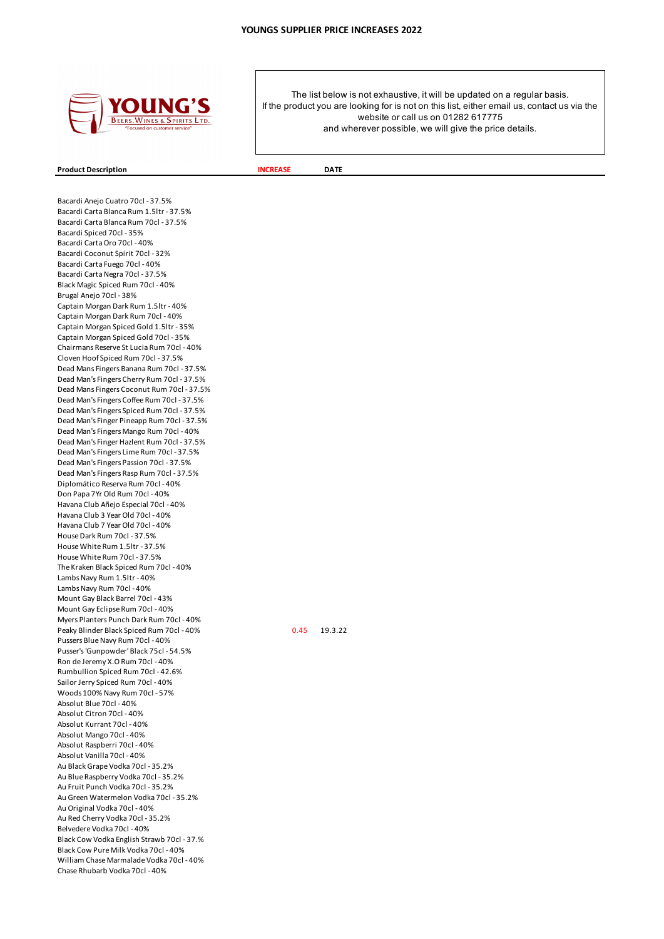

#### **Product Description INCREASE DATE**

Bacardi Anejo Cuatro 70cl - 37.5% Bacardi Carta Blanca Rum 1.5ltr - 37.5% Bacardi Carta Blanca Rum 70cl - 37.5% Bacardi Spiced 70cl - 35% Bacardi Carta Oro 70cl - 40% Bacardi Coconut Spirit 70cl - 32% Bacardi Carta Fuego 70cl - 40% Bacardi Carta Negra 70cl - 37.5% Black Magic Spiced Rum 70cl - 40% Brugal Anejo 70cl - 38% Captain Morgan Dark Rum 1.5ltr - 40% Captain Morgan Dark Rum 70cl - 40% Captain Morgan Spiced Gold 1.5ltr - 35% Captain Morgan Spiced Gold 70cl - 35% Chairmans Reserve St Lucia Rum 70cl - 40% Cloven Hoof Spiced Rum 70cl - 37.5% Dead Mans Fingers Banana Rum 70cl - 37.5% Dead Man's Fingers Cherry Rum 70cl - 37.5% Dead Mans Fingers Coconut Rum 70cl - 37.5% Dead Man's Fingers Coffee Rum 70cl - 37.5% Dead Man's Fingers Spiced Rum 70cl - 37.5% Dead Man's Finger Pineapp Rum 70cl - 37.5% Dead Man's Fingers Mango Rum 70cl - 40% Dead Man's Finger Hazlent Rum 70cl - 37.5% Dead Man's Fingers Lime Rum 70cl - 37.5% Dead Man's Fingers Passion 70cl - 37.5% Dead Man's Fingers Rasp Rum 70cl - 37.5% Diplomático Reserva Rum 70cl - 40% Don Papa 7Yr Old Rum 70cl - 40% Havana Club Añejo Especial 70cl - 40% Havana Club 3 Year Old 70cl - 40% Havana Club 7 Year Old 70cl - 40% House Dark Rum 70cl - 37.5% House White Rum 1.5ltr - 37.5% House White Rum 70cl - 37.5% The Kraken Black Spiced Rum 70cl - 40% Lambs Navy Rum 1.5ltr - 40% Lambs Navy Rum 70cl - 40% Mount Gay Black Barrel 70cl - 43% Mount Gay Eclipse Rum 70cl - 40% Myers Planters Punch Dark Rum 70cl - 40% Peaky Blinder Black Spiced Rum 70cl - 40% 0.45 19.3.22 Pussers Blue Navy Rum 70cl - 40% Pusser's 'Gunpowder' Black 75cl - 54.5% Ron de Jeremy X.O Rum 70cl - 40% Rumbullion Spiced Rum 70cl - 42.6% Sailor Jerry Spiced Rum 70cl - 40% Woods 100% Navy Rum 70cl - 57% Absolut Blue 70cl - 40% Absolut Citron 70cl - 40% Absolut Kurrant 70cl - 40% Absolut Mango 70cl - 40% Absolut Raspberri 70cl - 40% Absolut Vanilla 70cl - 40% Au Black Grape Vodka 70cl - 35.2% Au Blue Raspberry Vodka 70cl - 35.2% Au Fruit Punch Vodka 70cl - 35.2% Au Green Watermelon Vodka 70cl - 35.2% Au Original Vodka 70cl - 40% Au Red Cherry Vodka 70cl - 35.2% Belvedere Vodka 70cl - 40% Black Cow Vodka English Strawb 70cl - 37.% Black Cow Pure Milk Vodka 70cl - 40% William Chase Marmalade Vodka 70cl - 40% Chase Rhubarb Vodka 70cl - 40%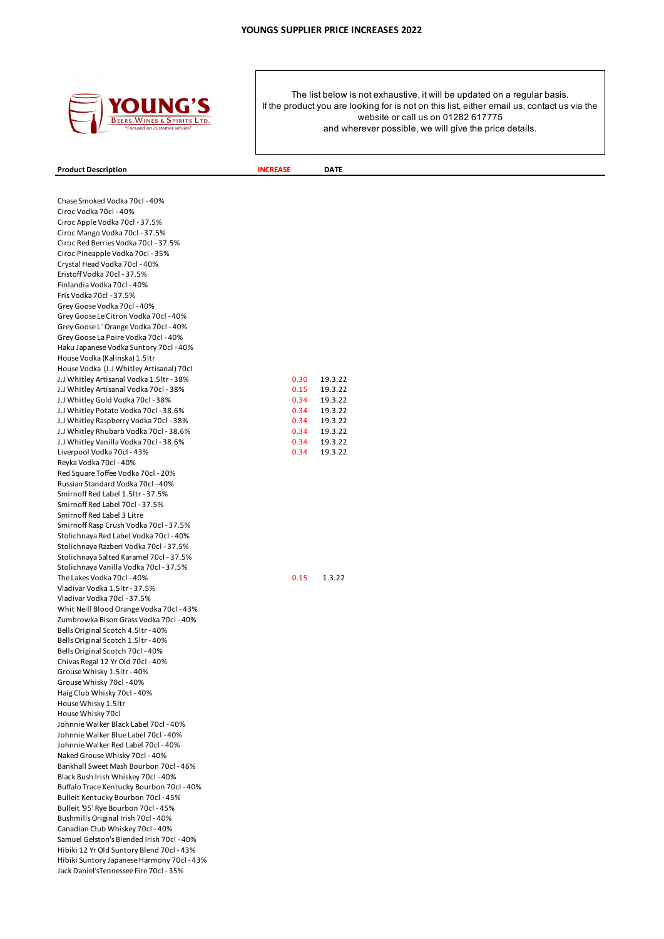

### **Product Description INCREASE DATE**

Chase Smoked Vodka 70cl - 40% Ciroc Vodka 70cl - 40% Ciroc Apple Vodka 70cl - 37.5% Ciroc Mango Vodka 70cl - 37.5% Ciroc Red Berries Vodka 70cl - 37.5% Ciroc Pineapple Vodka 70cl - 35% Crystal Head Vodka 70cl - 40% Eristoff Vodka 70cl - 37.5% Finlandia Vodka 70cl - 40% Frïs Vodka 70cl - 37.5% Grey Goose Vodka 70cl - 40% Grey Goose Le Citron Vodka 70cl - 40% Grey Goose L` Orange Vodka 70cl - 40% Grey Goose La Poire Vodka 70cl - 40% Haku Japanese Vodka Suntory 70cl - 40% House Vodka (Kalinska) 1.5ltr House Vodka (J.J Whitley Artisanal) 70cl J.J Whitley Artisanal Vodka 1.5ltr - 38% 0.30 19.3.22 J.J Whitley Artisanal Vodka 70cl - 38% 0.15 19.3.22 J.J Whitley Gold Vodka 70cl - 38% 0.34 19.3.22 J.J Whitley Potato Vodka 70cl - 38.6% 0.34 19.3.22 J.J Whitley Raspberry Vodka 70cl - 38% 0.34 19.3.22 J.J Whitley Rhubarb Vodka 70cl - 38.6% 0.34 19.3.22 J.J Whitley Vanilla Vodka 70cl - 38.6% 0.34 19.3.22 Liverpool Vodka 70cl - 43% 0.34 19.3.22 Reyka Vodka 70cl - 40% Red Square Toffee Vodka 70cl - 20% Russian Standard Vodka 70cl - 40% Smirnoff Red Label 1.5ltr - 37.5% Smirnoff Red Label 70cl - 37.5% Smirnoff Red Label 3 Litre Smirnoff Rasp Crush Vodka 70cl - 37.5% Stolichnaya Red Label Vodka 70cl - 40% Stolichnaya Razberi Vodka 70cl - 37.5% Stolichnaya Salted Karamel 70cl - 37.5% Stolichnaya Vanilla Vodka 70cl - 37.5% The Lakes Vodka 70cl - 40% 0.15 1.3.22 Vladivar Vodka 1.5ltr - 37.5% Vladivar Vodka 70cl - 37.5% Whit Neill Blood Orange Vodka 70cl - 43% Zumbrowka Bison Grass Vodka 70cl - 40% Bells Original Scotch 4.5ltr - 40% Bells Original Scotch 1.5ltr - 40% Bells Original Scotch 70cl - 40% Chivas Regal 12 Yr Old 70cl - 40% Grouse Whisky 1.5ltr - 40% Grouse Whisky 70cl - 40% Haig Club Whisky 70cl - 40% House Whisky 1.5ltr House Whisky 70cl Johnnie Walker Black Label 70cl - 40% Johnnie Walker Blue Label 70cl - 40% Johnnie Walker Red Label 70cl - 40% Naked Grouse Whisky 70cl - 40% Bankhall Sweet Mash Bourbon 70cl - 46% Black Bush Irish Whiskey 70cl - 40% Buffalo Trace Kentucky Bourbon 70cl - 40% Bulleit Kentucky Bourbon 70cl - 45% Bulleit '95' Rye Bourbon 70cl - 45% Bushmills Original Irish 70cl - 40% Canadian Club Whiskey 70cl - 40% Samuel Gelston's Blended Irish 70cl - 40% Hibiki 12 Yr Old Suntory Blend 70cl - 43% Hibiki Suntory Japanese Harmony 70cl - 43% Jack Daniel'sTennessee Fire 70cl - 35%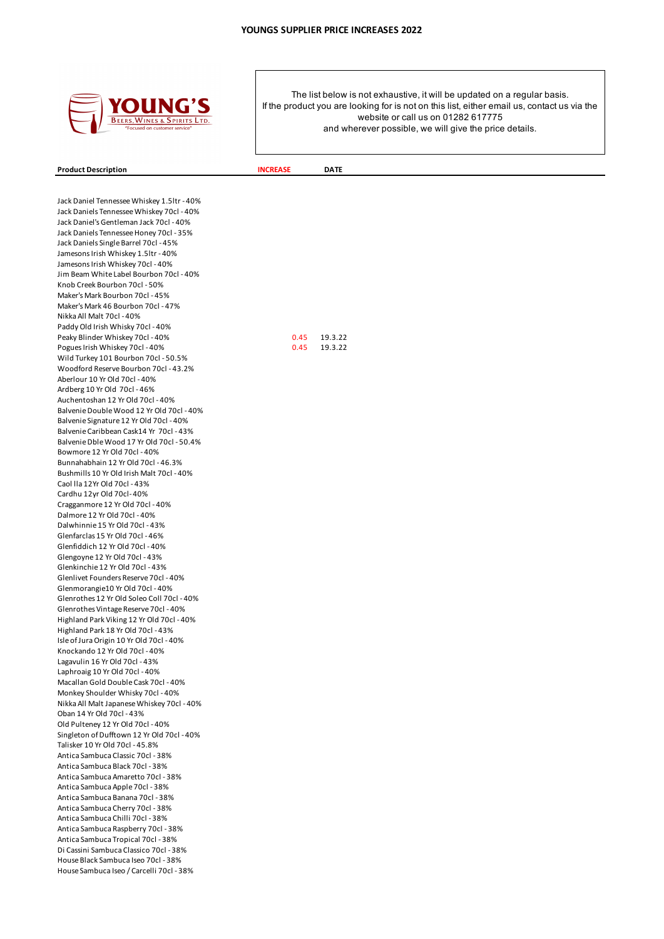

**Product Description INCREASE DATE** 

Jack Daniel Tennessee Whiskey 1.5ltr - 40% Jack Daniels Tennessee Whiskey 70cl - 40% Jack Daniel's Gentleman Jack 70cl - 40% Jack Daniels Tennessee Honey 70cl - 35% Jack Daniels Single Barrel 70cl - 45% Jamesons Irish Whiskey 1.5ltr - 40% Jamesons Irish Whiskey 70cl - 40% Jim Beam White Label Bourbon 70cl - 40% Knob Creek Bourbon 70cl - 50% Maker's Mark Bourbon 70cl - 45% Maker's Mark 46 Bourbon 70cl - 47% Nikka All Malt 70cl - 40% Paddy Old Irish Whisky 70cl - 40% Peaky Blinder Whiskey 70cl - 40% 0.45 19.3.22 Pogues Irish Whiskey 70cl - 40% 0.45 19.3.22 Wild Turkey 101 Bourbon 70cl - 50.5% Woodford Reserve Bourbon 70cl - 43.2% Aberlour 10 Yr Old 70cl - 40% Ardberg 10 Yr Old 70cl - 46% Auchentoshan 12 Yr Old 70cl - 40% Balvenie Double Wood 12 Yr Old 70cl - 40% Balvenie Signature 12 Yr Old 70cl - 40% Balvenie Caribbean Cask14 Yr 70cl - 43% Balvenie Dble Wood 17 Yr Old 70cl - 50.4% Bowmore 12 Yr Old 70cl - 40% Bunnahabhain 12 Yr Old 70cl - 46.3% Bushmills 10 Yr Old Irish Malt 70cl - 40% Caol lla 12Yr Old 70cl - 43% Cardhu 12yr Old 70cl- 40% Cragganmore 12 Yr Old 70cl - 40% Dalmore 12 Yr Old 70cl - 40% Dalwhinnie 15 Yr Old 70cl - 43% Glenfarclas 15 Yr Old 70cl - 46% Glenfiddich 12 Yr Old 70cl - 40% Glengoyne 12 Yr Old 70cl - 43% Glenkinchie 12 Yr Old 70cl - 43% Glenlivet Founders Reserve 70cl - 40% Glenmorangie10 Yr Old 70cl - 40% Glenrothes 12 Yr Old Soleo Coll 70cl - 40% Glenrothes Vintage Reserve 70cl - 40% Highland Park Viking 12 Yr Old 70cl - 40% Highland Park 18 Yr Old 70cl - 43% Isle of Jura Origin 10 Yr Old 70cl - 40% Knockando 12 Yr Old 70cl - 40% Lagavulin 16 Yr Old 70cl - 43% Laphroaig 10 Yr Old 70cl - 40% Macallan Gold Double Cask 70cl - 40% Monkey Shoulder Whisky 70cl - 40% Nikka All Malt Japanese Whiskey 70cl - 40% Oban 14 Yr Old 70cl - 43% Old Pulteney 12 Yr Old 70cl - 40% Singleton of Dufftown 12 Yr Old 70cl - 40% Talisker 10 Yr Old 70cl - 45.8% Antica Sambuca Classic 70cl - 38% Antica Sambuca Black 70cl - 38% Antica Sambuca Amaretto 70cl - 38% Antica Sambuca Apple 70cl - 38% Antica Sambuca Banana 70cl - 38% Antica Sambuca Cherry 70cl - 38% Antica Sambuca Chilli 70cl - 38% Antica Sambuca Raspberry 70cl - 38% Antica Sambuca Tropical 70cl - 38% Di Cassini Sambuca Classico 70cl - 38% House Black Sambuca Iseo 70cl - 38% House Sambuca Iseo / Carcelli 70cl - 38%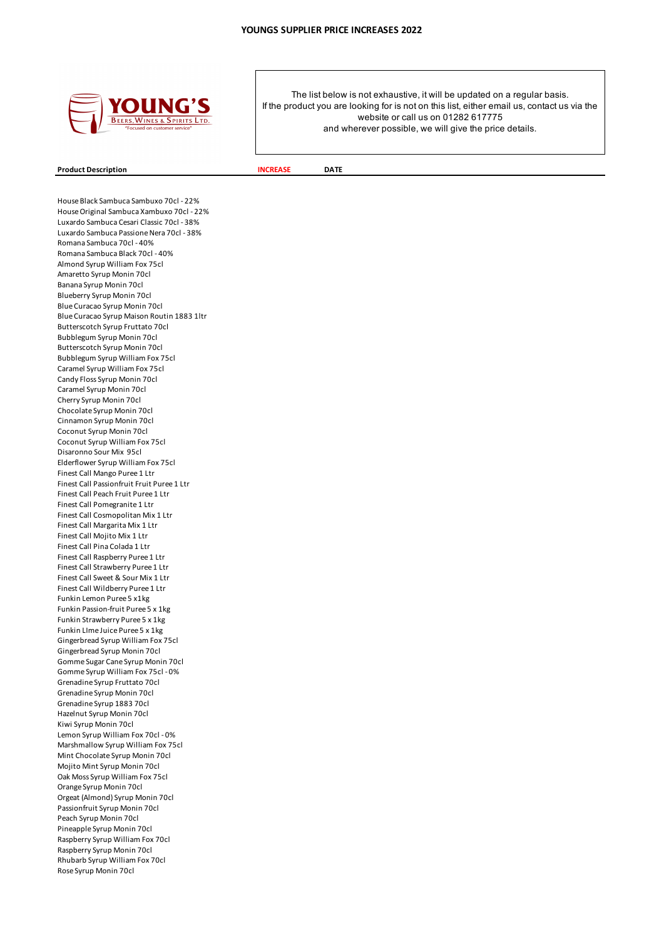

# **Product Description INCREASE DATE**

House Black Sambuca Sambuxo 70cl - 22% House Original Sambuca Xambuxo 70cl - 22% Luxardo Sambuca Cesari Classic 70cl - 38% Luxardo Sambuca Passione Nera 70cl - 38% Romana Sambuca 70cl - 40% Romana Sambuca Black 70cl - 40% Almond Syrup William Fox 75cl Amaretto Syrup Monin 70cl Banana Syrup Monin 70cl Blueberry Syrup Monin 70cl Blue Curacao Syrup Monin 70cl Blue Curacao Syrup Maison Routin 1883 1ltr Butterscotch Syrup Fruttato 70cl Bubblegum Syrup Monin 70cl Butterscotch Syrup Monin 70cl Bubblegum Syrup William Fox 75cl Caramel Syrup William Fox 75cl Candy Floss Syrup Monin 70cl Caramel Syrup Monin 70cl Cherry Syrup Monin 70cl Chocolate Syrup Monin 70cl Cinnamon Syrup Monin 70cl Coconut Syrup Monin 70cl Coconut Syrup William Fox 75cl Disaronno Sour Mix 95cl Elderflower Syrup William Fox 75cl Finest Call Mango Puree 1 Ltr Finest Call Passionfruit Fruit Puree 1 Ltr Finest Call Peach Fruit Puree 1 Ltr Finest Call Pomegranite 1 Ltr Finest Call Cosmopolitan Mix 1 Ltr Finest Call Margarita Mix 1 Ltr Finest Call Mojito Mix 1 Ltr Finest Call Pina Colada 1 Ltr Finest Call Raspberry Puree 1 Ltr Finest Call Strawberry Puree 1 Ltr Finest Call Sweet & Sour Mix 1 Ltr Finest Call Wildberry Puree 1 Ltr Funkin Lemon Puree 5 x1kg Funkin Passion-fruit Puree 5 x 1kg Funkin Strawberry Puree 5 x 1kg Funkin LIme Juice Puree 5 x 1kg Gingerbread Syrup William Fox 75cl Gingerbread Syrup Monin 70cl Gomme Sugar Cane Syrup Monin 70cl Gomme Syrup William Fox 75cl - 0% Grenadine Syrup Fruttato 70cl Grenadine Syrup Monin 70cl Grenadine Syrup 1883 70cl Hazelnut Syrup Monin 70cl Kiwi Syrup Monin 70cl Lemon Syrup William Fox 70cl - 0% Marshmallow Syrup William Fox 75cl Mint Chocolate Syrup Monin 70cl Mojito Mint Syrup Monin 70cl Oak Moss Syrup William Fox 75cl Orange Syrup Monin 70cl Orgeat (Almond) Syrup Monin 70cl Passionfruit Syrup Monin 70cl Peach Syrup Monin 70cl Pineapple Syrup Monin 70cl Raspberry Syrup William Fox 70cl Raspberry Syrup Monin 70cl Rhubarb Syrup William Fox 70cl Rose Syrup Monin 70cl